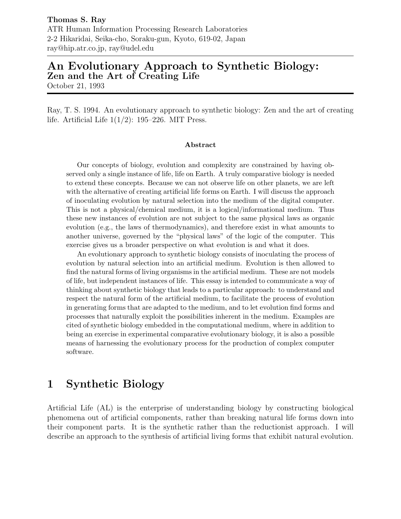## An Evolutionary Approach to Synthetic Biology: Zen and the Art of Creating Life

October 21, 1993

Ray, T. S. 1994. An evolutionary approach to synthetic biology: Zen and the art of creating life. Artificial Life  $1(1/2)$ : 195–226. MIT Press.

#### Abstract

Our concepts of biology, evolution and complexity are constrained by having observed only a single instance of life, life on Earth. A truly comparative biology is needed to extend these concepts. Because we can not observe life on other planets, we are left with the alternative of creating artificial life forms on Earth. I will discuss the approach of inoculating evolution by natural selection into the medium of the digital computer. This is not a physical/chemical medium, it is a logical/informational medium. Thus these new instances of evolution are not subject to the same physical laws as organic evolution (e.g., the laws of thermodynamics), and therefore exist in what amounts to another universe, governed by the "physical laws" of the logic of the computer. This exercise gives us a broader perspective on what evolution is and what it does.

An evolutionary approach to synthetic biology consists of inoculating the process of evolution by natural selection into an artificial medium. Evolution is then allowed to find the natural forms of living organisms in the artificial medium. These are not models of life, but independent instances of life. This essay is intended to communicate a way of thinking about synthetic biology that leads to a particular approach: to understand and respect the natural form of the artificial medium, to facilitate the process of evolution in generating forms that are adapted to the medium, and to let evolution find forms and processes that naturally exploit the possibilities inherent in the medium. Examples are cited of synthetic biology embedded in the computational medium, where in addition to being an exercise in experimental comparative evolutionary biology, it is also a possible means of harnessing the evolutionary process for the production of complex computer software.

# 1 Synthetic Biology

Artificial Life (AL) is the enterprise of understanding biology by constructing biological phenomena out of artificial components, rather than breaking natural life forms down into their component parts. It is the synthetic rather than the reductionist approach. I will describe an approach to the synthesis of artificial living forms that exhibit natural evolution.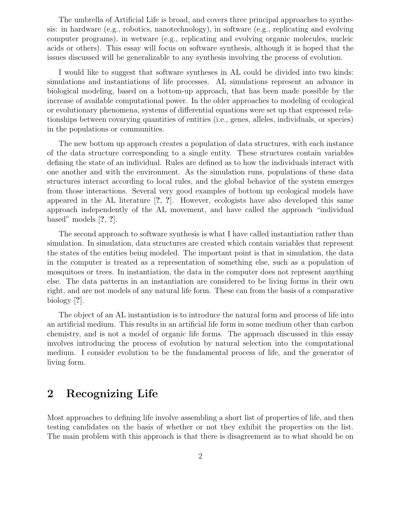The umbrella of Artificial Life is broad, and covers three principal approaches to synthesis: in hardware (e.g., robotics, nanotechnology), in software (e.g., replicating and evolving computer programs), in wetware (e.g., replicating and evolving organic molecules, nucleic acids or others). This essay will focus on software synthesis, although it is hoped that the issues discussed will be generalizable to any synthesis involving the process of evolution.

I would like to suggest that software syntheses in AL could be divided into two kinds: simulations and instantiations of life processes. AL simulations represent an advance in biological modeling, based on a bottom-up approach, that has been made possible by the increase of available computational power. In the older approaches to modeling of ecological or evolutionary phenomena, systems of differential equations were set up that expressed relationships between covarying quantities of entities (i.e., genes, alleles, individuals, or species) in the populations or communities.

The new bottom up approach creates a population of data structures, with each instance of the data structure corresponding to a single entity. These structures contain variables defining the state of an individual. Rules are defined as to how the individuals interact with one another and with the environment. As the simulation runs, populations of these data structures interact according to local rules, and the global behavior of the system emerges from those interactions. Several very good examples of bottom up ecological models have appeared in the AL literature [?, ?]. However, ecologists have also developed this same approach independently of the AL movement, and have called the approach "individual based" models [?, ?].

The second approach to software synthesis is what I have called instantiation rather than simulation. In simulation, data structures are created which contain variables that represent the states of the entities being modeled. The important point is that in simulation, the data in the computer is treated as a representation of something else, such as a population of mosquitoes or trees. In instantiation, the data in the computer does not represent anything else. The data patterns in an instantiation are considered to be living forms in their own right, and are not models of any natural life form. These can from the basis of a comparative biology [?].

The object of an AL instantiation is to introduce the natural form and process of life into an artificial medium. This results in an artificial life form in some medium other than carbon chemistry, and is not a model of organic life forms. The approach discussed in this essay involves introducing the process of evolution by natural selection into the computational medium. I consider evolution to be the fundamental process of life, and the generator of living form.

# 2 Recognizing Life

Most approaches to defining life involve assembling a short list of properties of life, and then testing candidates on the basis of whether or not they exhibit the properties on the list. The main problem with this approach is that there is disagreement as to what should be on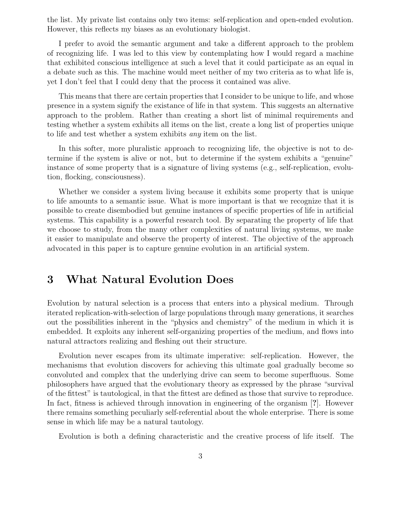the list. My private list contains only two items: self-replication and open-ended evolution. However, this reflects my biases as an evolutionary biologist.

I prefer to avoid the semantic argument and take a different approach to the problem of recognizing life. I was led to this view by contemplating how I would regard a machine that exhibited conscious intelligence at such a level that it could participate as an equal in a debate such as this. The machine would meet neither of my two criteria as to what life is, yet I don't feel that I could deny that the process it contained was alive.

This means that there are certain properties that I consider to be unique to life, and whose presence in a system signify the existance of life in that system. This suggests an alternative approach to the problem. Rather than creating a short list of minimal requirements and testing whether a system exhibits all items on the list, create a long list of properties unique to life and test whether a system exhibits any item on the list.

In this softer, more pluralistic approach to recognizing life, the objective is not to determine if the system is alive or not, but to determine if the system exhibits a "genuine" instance of some property that is a signature of living systems (e.g., self-replication, evolution, flocking, consciousness).

Whether we consider a system living because it exhibits some property that is unique to life amounts to a semantic issue. What is more important is that we recognize that it is possible to create disembodied but genuine instances of specific properties of life in artificial systems. This capability is a powerful research tool. By separating the property of life that we choose to study, from the many other complexities of natural living systems, we make it easier to manipulate and observe the property of interest. The objective of the approach advocated in this paper is to capture genuine evolution in an artificial system.

# 3 What Natural Evolution Does

Evolution by natural selection is a process that enters into a physical medium. Through iterated replication-with-selection of large populations through many generations, it searches out the possibilities inherent in the "physics and chemistry" of the medium in which it is embedded. It exploits any inherent self-organizing properties of the medium, and flows into natural attractors realizing and fleshing out their structure.

Evolution never escapes from its ultimate imperative: self-replication. However, the mechanisms that evolution discovers for achieving this ultimate goal gradually become so convoluted and complex that the underlying drive can seem to become superfluous. Some philosophers have argued that the evolutionary theory as expressed by the phrase "survival of the fittest" is tautological, in that the fittest are defined as those that survive to reproduce. In fact, fitness is achieved through innovation in engineering of the organism [?]. However there remains something peculiarly self-referential about the whole enterprise. There is some sense in which life may be a natural tautology.

Evolution is both a defining characteristic and the creative process of life itself. The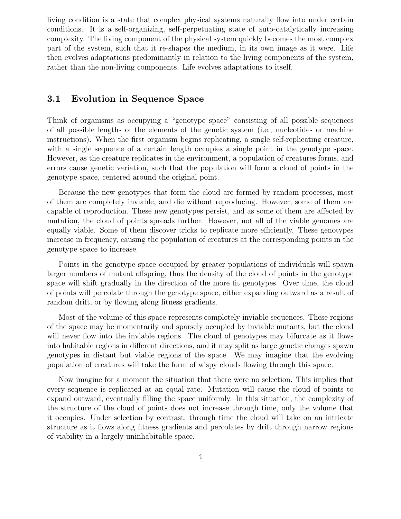living condition is a state that complex physical systems naturally flow into under certain conditions. It is a self-organizing, self-perpetuating state of auto-catalytically increasing complexity. The living component of the physical system quickly becomes the most complex part of the system, such that it re-shapes the medium, in its own image as it were. Life then evolves adaptations predominantly in relation to the living components of the system, rather than the non-living components. Life evolves adaptations to itself.

### 3.1 Evolution in Sequence Space

Think of organisms as occupying a "genotype space" consisting of all possible sequences of all possible lengths of the elements of the genetic system (i.e., nucleotides or machine instructions). When the first organism begins replicating, a single self-replicating creature, with a single sequence of a certain length occupies a single point in the genotype space. However, as the creature replicates in the environment, a population of creatures forms, and errors cause genetic variation, such that the population will form a cloud of points in the genotype space, centered around the original point.

Because the new genotypes that form the cloud are formed by random processes, most of them are completely inviable, and die without reproducing. However, some of them are capable of reproduction. These new genotypes persist, and as some of them are affected by mutation, the cloud of points spreads further. However, not all of the viable genomes are equally viable. Some of them discover tricks to replicate more efficiently. These genotypes increase in frequency, causing the population of creatures at the corresponding points in the genotype space to increase.

Points in the genotype space occupied by greater populations of individuals will spawn larger numbers of mutant offspring, thus the density of the cloud of points in the genotype space will shift gradually in the direction of the more fit genotypes. Over time, the cloud of points will percolate through the genotype space, either expanding outward as a result of random drift, or by flowing along fitness gradients.

Most of the volume of this space represents completely inviable sequences. These regions of the space may be momentarily and sparsely occupied by inviable mutants, but the cloud will never flow into the inviable regions. The cloud of genotypes may bifurcate as it flows into habitable regions in different directions, and it may split as large genetic changes spawn genotypes in distant but viable regions of the space. We may imagine that the evolving population of creatures will take the form of wispy clouds flowing through this space.

Now imagine for a moment the situation that there were no selection. This implies that every sequence is replicated at an equal rate. Mutation will cause the cloud of points to expand outward, eventually filling the space uniformly. In this situation, the complexity of the structure of the cloud of points does not increase through time, only the volume that it occupies. Under selection by contrast, through time the cloud will take on an intricate structure as it flows along fitness gradients and percolates by drift through narrow regions of viability in a largely uninhabitable space.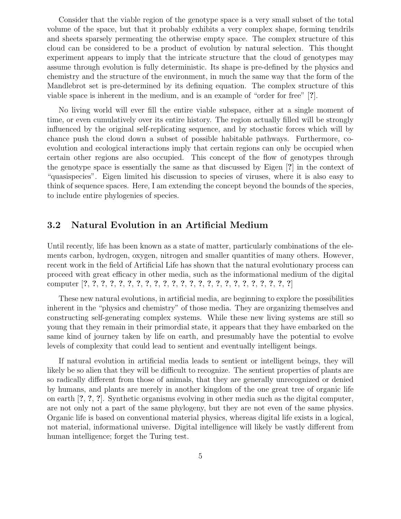Consider that the viable region of the genotype space is a very small subset of the total volume of the space, but that it probably exhibits a very complex shape, forming tendrils and sheets sparsely permeating the otherwise empty space. The complex structure of this cloud can be considered to be a product of evolution by natural selection. This thought experiment appears to imply that the intricate structure that the cloud of genotypes may assume through evolution is fully deterministic. Its shape is pre-defined by the physics and chemistry and the structure of the environment, in much the same way that the form of the Mandlebrot set is pre-determined by its defining equation. The complex structure of this viable space is inherent in the medium, and is an example of "order for free" [?].

No living world will ever fill the entire viable subspace, either at a single moment of time, or even cumulatively over its entire history. The region actually filled will be strongly influenced by the original self-replicating sequence, and by stochastic forces which will by chance push the cloud down a subset of possible habitable pathways. Furthermore, coevolution and ecological interactions imply that certain regions can only be occupied when certain other regions are also occupied. This concept of the flow of genotypes through the genotype space is essentially the same as that discussed by Eigen [?] in the context of "quasispecies". Eigen limited his discussion to species of viruses, where it is also easy to think of sequence spaces. Here, I am extending the concept beyond the bounds of the species, to include entire phylogenies of species.

### 3.2 Natural Evolution in an Artificial Medium

Until recently, life has been known as a state of matter, particularly combinations of the elements carbon, hydrogen, oxygen, nitrogen and smaller quantities of many others. However, recent work in the field of Artificial Life has shown that the natural evolutionary process can proceed with great efficacy in other media, such as the informational medium of the digital computer [?, ?, ?, ?, ?, ?, ?, ?, ?, ?, ?, ?, ?, ?, ?, ?, ?, ?, ?, ?, ?, ?, ?, ?]

These new natural evolutions, in artificial media, are beginning to explore the possibilities inherent in the "physics and chemistry" of those media. They are organizing themselves and constructing self-generating complex systems. While these new living systems are still so young that they remain in their primordial state, it appears that they have embarked on the same kind of journey taken by life on earth, and presumably have the potential to evolve levels of complexity that could lead to sentient and eventually intelligent beings.

If natural evolution in artificial media leads to sentient or intelligent beings, they will likely be so alien that they will be difficult to recognize. The sentient properties of plants are so radically different from those of animals, that they are generally unrecognized or denied by humans, and plants are merely in another kingdom of the one great tree of organic life on earth [?, ?, ?]. Synthetic organisms evolving in other media such as the digital computer, are not only not a part of the same phylogeny, but they are not even of the same physics. Organic life is based on conventional material physics, whereas digital life exists in a logical, not material, informational universe. Digital intelligence will likely be vastly different from human intelligence; forget the Turing test.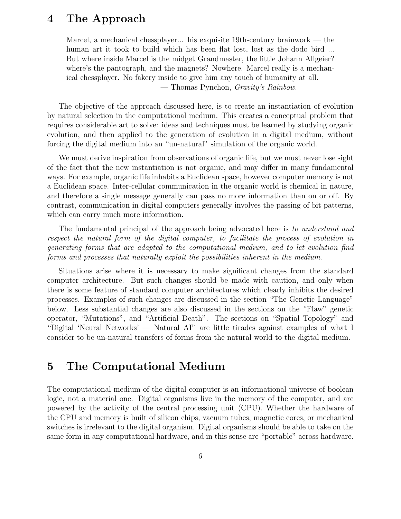# 4 The Approach

Marcel, a mechanical chessplayer... his exquisite 19th-century brainwork — the human art it took to build which has been flat lost, lost as the dodo bird ... But where inside Marcel is the midget Grandmaster, the little Johann Allgeier? where's the pantograph, and the magnets? Nowhere. Marcel really is a mechanical chessplayer. No fakery inside to give him any touch of humanity at all. — Thomas Pynchon, Gravity's Rainbow.

The objective of the approach discussed here, is to create an instantiation of evolution by natural selection in the computational medium. This creates a conceptual problem that requires considerable art to solve: ideas and techniques must be learned by studying organic evolution, and then applied to the generation of evolution in a digital medium, without forcing the digital medium into an "un-natural" simulation of the organic world.

We must derive inspiration from observations of organic life, but we must never lose sight of the fact that the new instantiation is not organic, and may differ in many fundamental ways. For example, organic life inhabits a Euclidean space, however computer memory is not a Euclidean space. Inter-cellular communication in the organic world is chemical in nature, and therefore a single message generally can pass no more information than on or off. By contrast, communication in digital computers generally involves the passing of bit patterns, which can carry much more information.

The fundamental principal of the approach being advocated here is to understand and respect the natural form of the digital computer, to facilitate the process of evolution in generating forms that are adapted to the computational medium, and to let evolution find forms and processes that naturally exploit the possibilities inherent in the medium.

Situations arise where it is necessary to make significant changes from the standard computer architecture. But such changes should be made with caution, and only when there is some feature of standard computer architectures which clearly inhibits the desired processes. Examples of such changes are discussed in the section "The Genetic Language" below. Less substantial changes are also discussed in the sections on the "Flaw" genetic operator, "Mutations", and "Artificial Death". The sections on "Spatial Topology" and "Digital 'Neural Networks' — Natural AI" are little tirades against examples of what I consider to be un-natural transfers of forms from the natural world to the digital medium.

# 5 The Computational Medium

The computational medium of the digital computer is an informational universe of boolean logic, not a material one. Digital organisms live in the memory of the computer, and are powered by the activity of the central processing unit (CPU). Whether the hardware of the CPU and memory is built of silicon chips, vacuum tubes, magnetic cores, or mechanical switches is irrelevant to the digital organism. Digital organisms should be able to take on the same form in any computational hardware, and in this sense are "portable" across hardware.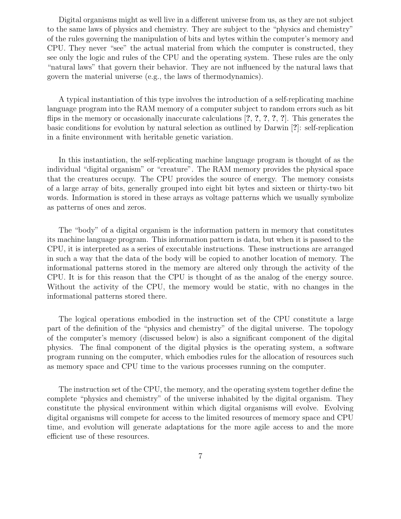Digital organisms might as well live in a different universe from us, as they are not subject to the same laws of physics and chemistry. They are subject to the "physics and chemistry" of the rules governing the manipulation of bits and bytes within the computer's memory and CPU. They never "see" the actual material from which the computer is constructed, they see only the logic and rules of the CPU and the operating system. These rules are the only "natural laws" that govern their behavior. They are not influenced by the natural laws that govern the material universe (e.g., the laws of thermodynamics).

A typical instantiation of this type involves the introduction of a self-replicating machine language program into the RAM memory of a computer subject to random errors such as bit flips in the memory or occasionally inaccurate calculations [?, ?, ?, ?, ?]. This generates the basic conditions for evolution by natural selection as outlined by Darwin [?]: self-replication in a finite environment with heritable genetic variation.

In this instantiation, the self-replicating machine language program is thought of as the individual "digital organism" or "creature". The RAM memory provides the physical space that the creatures occupy. The CPU provides the source of energy. The memory consists of a large array of bits, generally grouped into eight bit bytes and sixteen or thirty-two bit words. Information is stored in these arrays as voltage patterns which we usually symbolize as patterns of ones and zeros.

The "body" of a digital organism is the information pattern in memory that constitutes its machine language program. This information pattern is data, but when it is passed to the CPU, it is interpreted as a series of executable instructions. These instructions are arranged in such a way that the data of the body will be copied to another location of memory. The informational patterns stored in the memory are altered only through the activity of the CPU. It is for this reason that the CPU is thought of as the analog of the energy source. Without the activity of the CPU, the memory would be static, with no changes in the informational patterns stored there.

The logical operations embodied in the instruction set of the CPU constitute a large part of the definition of the "physics and chemistry" of the digital universe. The topology of the computer's memory (discussed below) is also a significant component of the digital physics. The final component of the digital physics is the operating system, a software program running on the computer, which embodies rules for the allocation of resources such as memory space and CPU time to the various processes running on the computer.

The instruction set of the CPU, the memory, and the operating system together define the complete "physics and chemistry" of the universe inhabited by the digital organism. They constitute the physical environment within which digital organisms will evolve. Evolving digital organisms will compete for access to the limited resources of memory space and CPU time, and evolution will generate adaptations for the more agile access to and the more efficient use of these resources.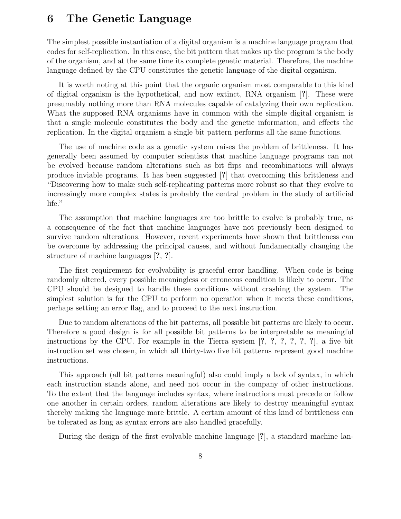# 6 The Genetic Language

The simplest possible instantiation of a digital organism is a machine language program that codes for self-replication. In this case, the bit pattern that makes up the program is the body of the organism, and at the same time its complete genetic material. Therefore, the machine language defined by the CPU constitutes the genetic language of the digital organism.

It is worth noting at this point that the organic organism most comparable to this kind of digital organism is the hypothetical, and now extinct, RNA organism [?]. These were presumably nothing more than RNA molecules capable of catalyzing their own replication. What the supposed RNA organisms have in common with the simple digital organism is that a single molecule constitutes the body and the genetic information, and effects the replication. In the digital organism a single bit pattern performs all the same functions.

The use of machine code as a genetic system raises the problem of brittleness. It has generally been assumed by computer scientists that machine language programs can not be evolved because random alterations such as bit flips and recombinations will always produce inviable programs. It has been suggested [?] that overcoming this brittleness and "Discovering how to make such self-replicating patterns more robust so that they evolve to increasingly more complex states is probably the central problem in the study of artificial life."

The assumption that machine languages are too brittle to evolve is probably true, as a consequence of the fact that machine languages have not previously been designed to survive random alterations. However, recent experiments have shown that brittleness can be overcome by addressing the principal causes, and without fundamentally changing the structure of machine languages [?, ?].

The first requirement for evolvability is graceful error handling. When code is being randomly altered, every possible meaningless or erroneous condition is likely to occur. The CPU should be designed to handle these conditions without crashing the system. The simplest solution is for the CPU to perform no operation when it meets these conditions, perhaps setting an error flag, and to proceed to the next instruction.

Due to random alterations of the bit patterns, all possible bit patterns are likely to occur. Therefore a good design is for all possible bit patterns to be interpretable as meaningful instructions by the CPU. For example in the Tierra system  $[?,?,?,?,?,?,]$ , a five bit instruction set was chosen, in which all thirty-two five bit patterns represent good machine instructions.

This approach (all bit patterns meaningful) also could imply a lack of syntax, in which each instruction stands alone, and need not occur in the company of other instructions. To the extent that the language includes syntax, where instructions must precede or follow one another in certain orders, random alterations are likely to destroy meaningful syntax thereby making the language more brittle. A certain amount of this kind of brittleness can be tolerated as long as syntax errors are also handled gracefully.

During the design of the first evolvable machine language [?], a standard machine lan-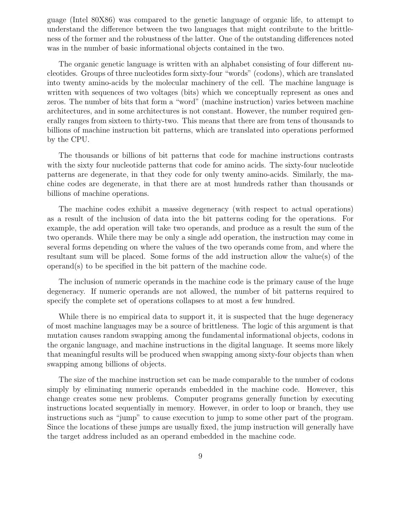guage (Intel 80X86) was compared to the genetic language of organic life, to attempt to understand the difference between the two languages that might contribute to the brittleness of the former and the robustness of the latter. One of the outstanding differences noted was in the number of basic informational objects contained in the two.

The organic genetic language is written with an alphabet consisting of four different nucleotides. Groups of three nucleotides form sixty-four "words" (codons), which are translated into twenty amino-acids by the molecular machinery of the cell. The machine language is written with sequences of two voltages (bits) which we conceptually represent as ones and zeros. The number of bits that form a "word" (machine instruction) varies between machine architectures, and in some architectures is not constant. However, the number required generally ranges from sixteen to thirty-two. This means that there are from tens of thousands to billions of machine instruction bit patterns, which are translated into operations performed by the CPU.

The thousands or billions of bit patterns that code for machine instructions contrasts with the sixty four nucleotide patterns that code for amino acids. The sixty-four nucleotide patterns are degenerate, in that they code for only twenty amino-acids. Similarly, the machine codes are degenerate, in that there are at most hundreds rather than thousands or billions of machine operations.

The machine codes exhibit a massive degeneracy (with respect to actual operations) as a result of the inclusion of data into the bit patterns coding for the operations. For example, the add operation will take two operands, and produce as a result the sum of the two operands. While there may be only a single add operation, the instruction may come in several forms depending on where the values of the two operands come from, and where the resultant sum will be placed. Some forms of the add instruction allow the value(s) of the operand(s) to be specified in the bit pattern of the machine code.

The inclusion of numeric operands in the machine code is the primary cause of the huge degeneracy. If numeric operands are not allowed, the number of bit patterns required to specify the complete set of operations collapses to at most a few hundred.

While there is no empirical data to support it, it is suspected that the huge degeneracy of most machine languages may be a source of brittleness. The logic of this argument is that mutation causes random swapping among the fundamental informational objects, codons in the organic language, and machine instructions in the digital language. It seems more likely that meaningful results will be produced when swapping among sixty-four objects than when swapping among billions of objects.

The size of the machine instruction set can be made comparable to the number of codons simply by eliminating numeric operands embedded in the machine code. However, this change creates some new problems. Computer programs generally function by executing instructions located sequentially in memory. However, in order to loop or branch, they use instructions such as "jump" to cause execution to jump to some other part of the program. Since the locations of these jumps are usually fixed, the jump instruction will generally have the target address included as an operand embedded in the machine code.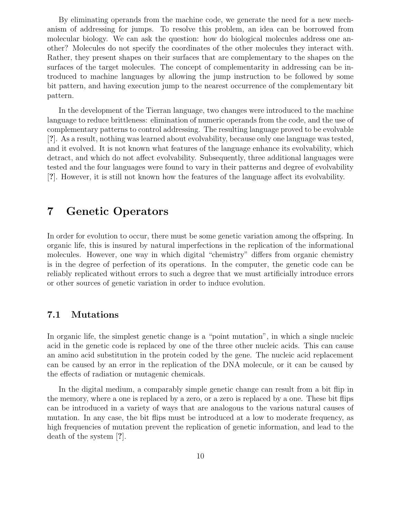By eliminating operands from the machine code, we generate the need for a new mechanism of addressing for jumps. To resolve this problem, an idea can be borrowed from molecular biology. We can ask the question: how do biological molecules address one another? Molecules do not specify the coordinates of the other molecules they interact with. Rather, they present shapes on their surfaces that are complementary to the shapes on the surfaces of the target molecules. The concept of complementarity in addressing can be introduced to machine languages by allowing the jump instruction to be followed by some bit pattern, and having execution jump to the nearest occurrence of the complementary bit pattern.

In the development of the Tierran language, two changes were introduced to the machine language to reduce brittleness: elimination of numeric operands from the code, and the use of complementary patterns to control addressing. The resulting language proved to be evolvable [?]. As a result, nothing was learned about evolvability, because only one language was tested, and it evolved. It is not known what features of the language enhance its evolvability, which detract, and which do not affect evolvability. Subsequently, three additional languages were tested and the four languages were found to vary in their patterns and degree of evolvability [?]. However, it is still not known how the features of the language affect its evolvability.

## 7 Genetic Operators

In order for evolution to occur, there must be some genetic variation among the offspring. In organic life, this is insured by natural imperfections in the replication of the informational molecules. However, one way in which digital "chemistry" differs from organic chemistry is in the degree of perfection of its operations. In the computer, the genetic code can be reliably replicated without errors to such a degree that we must artificially introduce errors or other sources of genetic variation in order to induce evolution.

### 7.1 Mutations

In organic life, the simplest genetic change is a "point mutation", in which a single nucleic acid in the genetic code is replaced by one of the three other nucleic acids. This can cause an amino acid substitution in the protein coded by the gene. The nucleic acid replacement can be caused by an error in the replication of the DNA molecule, or it can be caused by the effects of radiation or mutagenic chemicals.

In the digital medium, a comparably simple genetic change can result from a bit flip in the memory, where a one is replaced by a zero, or a zero is replaced by a one. These bit flips can be introduced in a variety of ways that are analogous to the various natural causes of mutation. In any case, the bit flips must be introduced at a low to moderate frequency, as high frequencies of mutation prevent the replication of genetic information, and lead to the death of the system [?].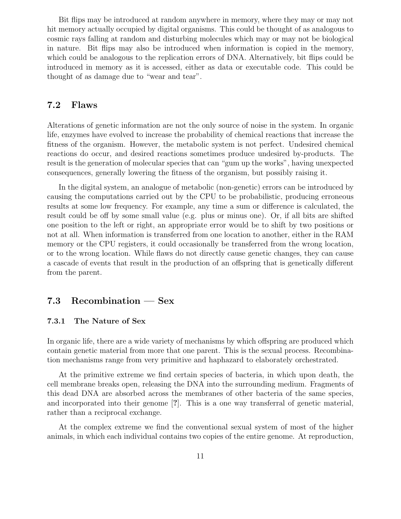Bit flips may be introduced at random anywhere in memory, where they may or may not hit memory actually occupied by digital organisms. This could be thought of as analogous to cosmic rays falling at random and disturbing molecules which may or may not be biological in nature. Bit flips may also be introduced when information is copied in the memory, which could be analogous to the replication errors of DNA. Alternatively, bit flips could be introduced in memory as it is accessed, either as data or executable code. This could be thought of as damage due to "wear and tear".

### 7.2 Flaws

Alterations of genetic information are not the only source of noise in the system. In organic life, enzymes have evolved to increase the probability of chemical reactions that increase the fitness of the organism. However, the metabolic system is not perfect. Undesired chemical reactions do occur, and desired reactions sometimes produce undesired by-products. The result is the generation of molecular species that can "gum up the works", having unexpected consequences, generally lowering the fitness of the organism, but possibly raising it.

In the digital system, an analogue of metabolic (non-genetic) errors can be introduced by causing the computations carried out by the CPU to be probabilistic, producing erroneous results at some low frequency. For example, any time a sum or difference is calculated, the result could be off by some small value (e.g. plus or minus one). Or, if all bits are shifted one position to the left or right, an appropriate error would be to shift by two positions or not at all. When information is transferred from one location to another, either in the RAM memory or the CPU registers, it could occasionally be transferred from the wrong location, or to the wrong location. While flaws do not directly cause genetic changes, they can cause a cascade of events that result in the production of an offspring that is genetically different from the parent.

### 7.3 Recombination — Sex

#### 7.3.1 The Nature of Sex

In organic life, there are a wide variety of mechanisms by which offspring are produced which contain genetic material from more that one parent. This is the sexual process. Recombination mechanisms range from very primitive and haphazard to elaborately orchestrated.

At the primitive extreme we find certain species of bacteria, in which upon death, the cell membrane breaks open, releasing the DNA into the surrounding medium. Fragments of this dead DNA are absorbed across the membranes of other bacteria of the same species, and incorporated into their genome [?]. This is a one way transferral of genetic material, rather than a reciprocal exchange.

At the complex extreme we find the conventional sexual system of most of the higher animals, in which each individual contains two copies of the entire genome. At reproduction,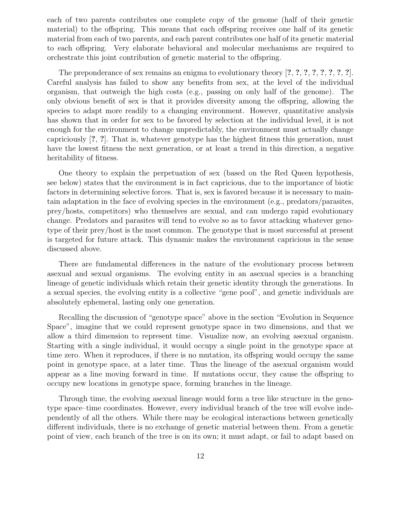each of two parents contributes one complete copy of the genome (half of their genetic material) to the offspring. This means that each offspring receives one half of its genetic material from each of two parents, and each parent contributes one half of its genetic material to each offspring. Very elaborate behavioral and molecular mechanisms are required to orchestrate this joint contribution of genetic material to the offspring.

The preponderance of sex remains an enigma to evolutionary theory [?, ?, ?, ?, ?, ?, ?, ?, ?]. Careful analysis has failed to show any benefits from sex, at the level of the individual organism, that outweigh the high costs (e.g., passing on only half of the genome). The only obvious benefit of sex is that it provides diversity among the offspring, allowing the species to adapt more readily to a changing environment. However, quantitative analysis has shown that in order for sex to be favored by selection at the individual level, it is not enough for the environment to change unpredictably, the environment must actually change capriciously [?, ?]. That is, whatever genotype has the highest fitness this generation, must have the lowest fitness the next generation, or at least a trend in this direction, a negative heritability of fitness.

One theory to explain the perpetuation of sex (based on the Red Queen hypothesis, see below) states that the environment is in fact capricious, due to the importance of biotic factors in determining selective forces. That is, sex is favored because it is necessary to maintain adaptation in the face of evolving species in the environment (e.g., predators/parasites, prey/hosts, competitors) who themselves are sexual, and can undergo rapid evolutionary change. Predators and parasites will tend to evolve so as to favor attacking whatever genotype of their prey/host is the most common. The genotype that is most successful at present is targeted for future attack. This dynamic makes the environment capricious in the sense discussed above.

There are fundamental differences in the nature of the evolutionary process between asexual and sexual organisms. The evolving entity in an asexual species is a branching lineage of genetic individuals which retain their genetic identity through the generations. In a sexual species, the evolving entity is a collective "gene pool", and genetic individuals are absolutely ephemeral, lasting only one generation.

Recalling the discussion of "genotype space" above in the section "Evolution in Sequence Space", imagine that we could represent genotype space in two dimensions, and that we allow a third dimension to represent time. Visualize now, an evolving asexual organism. Starting with a single individual, it would occupy a single point in the genotype space at time zero. When it reproduces, if there is no mutation, its offspring would occupy the same point in genotype space, at a later time. Thus the lineage of the asexual organism would appear as a line moving forward in time. If mutations occur, they cause the offspring to occupy new locations in genotype space, forming branches in the lineage.

Through time, the evolving asexual lineage would form a tree like structure in the genotype space–time coordinates. However, every individual branch of the tree will evolve independently of all the others. While there may be ecological interactions between genetically different individuals, there is no exchange of genetic material between them. From a genetic point of view, each branch of the tree is on its own; it must adapt, or fail to adapt based on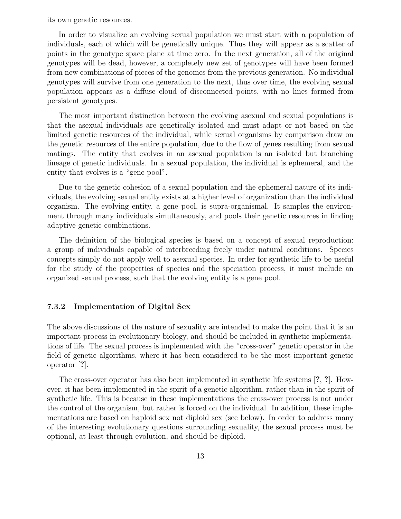its own genetic resources.

In order to visualize an evolving sexual population we must start with a population of individuals, each of which will be genetically unique. Thus they will appear as a scatter of points in the genotype space plane at time zero. In the next generation, all of the original genotypes will be dead, however, a completely new set of genotypes will have been formed from new combinations of pieces of the genomes from the previous generation. No individual genotypes will survive from one generation to the next, thus over time, the evolving sexual population appears as a diffuse cloud of disconnected points, with no lines formed from persistent genotypes.

The most important distinction between the evolving asexual and sexual populations is that the asexual individuals are genetically isolated and must adapt or not based on the limited genetic resources of the individual, while sexual organisms by comparison draw on the genetic resources of the entire population, due to the flow of genes resulting from sexual matings. The entity that evolves in an asexual population is an isolated but branching lineage of genetic individuals. In a sexual population, the individual is ephemeral, and the entity that evolves is a "gene pool".

Due to the genetic cohesion of a sexual population and the ephemeral nature of its individuals, the evolving sexual entity exists at a higher level of organization than the individual organism. The evolving entity, a gene pool, is supra-organismal. It samples the environment through many individuals simultaneously, and pools their genetic resources in finding adaptive genetic combinations.

The definition of the biological species is based on a concept of sexual reproduction: a group of individuals capable of interbreeding freely under natural conditions. Species concepts simply do not apply well to asexual species. In order for synthetic life to be useful for the study of the properties of species and the speciation process, it must include an organized sexual process, such that the evolving entity is a gene pool.

#### 7.3.2 Implementation of Digital Sex

The above discussions of the nature of sexuality are intended to make the point that it is an important process in evolutionary biology, and should be included in synthetic implementations of life. The sexual process is implemented with the "cross-over" genetic operator in the field of genetic algorithms, where it has been considered to be the most important genetic operator [?].

The cross-over operator has also been implemented in synthetic life systems [?, ?]. However, it has been implemented in the spirit of a genetic algorithm, rather than in the spirit of synthetic life. This is because in these implementations the cross-over process is not under the control of the organism, but rather is forced on the individual. In addition, these implementations are based on haploid sex not diploid sex (see below). In order to address many of the interesting evolutionary questions surrounding sexuality, the sexual process must be optional, at least through evolution, and should be diploid.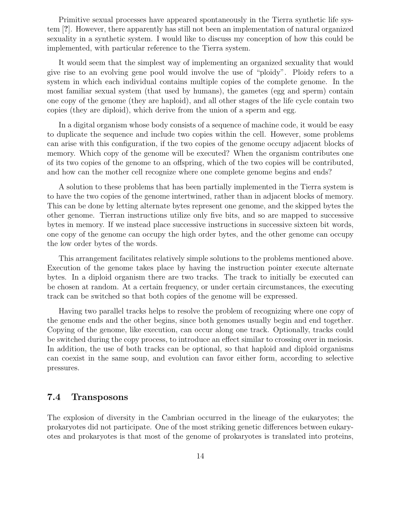Primitive sexual processes have appeared spontaneously in the Tierra synthetic life system [?]. However, there apparently has still not been an implementation of natural organized sexuality in a synthetic system. I would like to discuss my conception of how this could be implemented, with particular reference to the Tierra system.

It would seem that the simplest way of implementing an organized sexuality that would give rise to an evolving gene pool would involve the use of "ploidy". Ploidy refers to a system in which each individual contains multiple copies of the complete genome. In the most familiar sexual system (that used by humans), the gametes (egg and sperm) contain one copy of the genome (they are haploid), and all other stages of the life cycle contain two copies (they are diploid), which derive from the union of a sperm and egg.

In a digital organism whose body consists of a sequence of machine code, it would be easy to duplicate the sequence and include two copies within the cell. However, some problems can arise with this configuration, if the two copies of the genome occupy adjacent blocks of memory. Which copy of the genome will be executed? When the organism contributes one of its two copies of the genome to an offspring, which of the two copies will be contributed, and how can the mother cell recognize where one complete genome begins and ends?

A solution to these problems that has been partially implemented in the Tierra system is to have the two copies of the genome intertwined, rather than in adjacent blocks of memory. This can be done by letting alternate bytes represent one genome, and the skipped bytes the other genome. Tierran instructions utilize only five bits, and so are mapped to successive bytes in memory. If we instead place successive instructions in successive sixteen bit words, one copy of the genome can occupy the high order bytes, and the other genome can occupy the low order bytes of the words.

This arrangement facilitates relatively simple solutions to the problems mentioned above. Execution of the genome takes place by having the instruction pointer execute alternate bytes. In a diploid organism there are two tracks. The track to initially be executed can be chosen at random. At a certain frequency, or under certain circumstances, the executing track can be switched so that both copies of the genome will be expressed.

Having two parallel tracks helps to resolve the problem of recognizing where one copy of the genome ends and the other begins, since both genomes usually begin and end together. Copying of the genome, like execution, can occur along one track. Optionally, tracks could be switched during the copy process, to introduce an effect similar to crossing over in meiosis. In addition, the use of both tracks can be optional, so that haploid and diploid organisms can coexist in the same soup, and evolution can favor either form, according to selective pressures.

#### 7.4 Transposons

The explosion of diversity in the Cambrian occurred in the lineage of the eukaryotes; the prokaryotes did not participate. One of the most striking genetic differences between eukaryotes and prokaryotes is that most of the genome of prokaryotes is translated into proteins,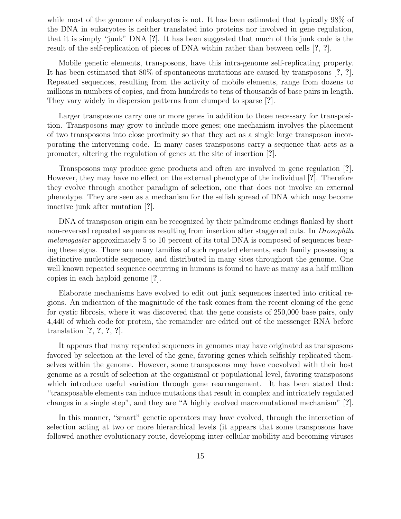while most of the genome of eukaryotes is not. It has been estimated that typically 98% of the DNA in eukaryotes is neither translated into proteins nor involved in gene regulation, that it is simply "junk" DNA [?]. It has been suggested that much of this junk code is the result of the self-replication of pieces of DNA within rather than between cells [?, ?].

Mobile genetic elements, transposons, have this intra-genome self-replicating property. It has been estimated that 80% of spontaneous mutations are caused by transposons [?, ?]. Repeated sequences, resulting from the activity of mobile elements, range from dozens to millions in numbers of copies, and from hundreds to tens of thousands of base pairs in length. They vary widely in dispersion patterns from clumped to sparse [?].

Larger transposons carry one or more genes in addition to those necessary for transposition. Transposons may grow to include more genes; one mechanism involves the placement of two transposons into close proximity so that they act as a single large transposon incorporating the intervening code. In many cases transposons carry a sequence that acts as a promoter, altering the regulation of genes at the site of insertion [?].

Transposons may produce gene products and often are involved in gene regulation [?]. However, they may have no effect on the external phenotype of the individual [?]. Therefore they evolve through another paradigm of selection, one that does not involve an external phenotype. They are seen as a mechanism for the selfish spread of DNA which may become inactive junk after mutation [?].

DNA of transposon origin can be recognized by their palindrome endings flanked by short non-reversed repeated sequences resulting from insertion after staggered cuts. In Drosophila melanogaster approximately 5 to 10 percent of its total DNA is composed of sequences bearing these signs. There are many families of such repeated elements, each family possessing a distinctive nucleotide sequence, and distributed in many sites throughout the genome. One well known repeated sequence occurring in humans is found to have as many as a half million copies in each haploid genome [?].

Elaborate mechanisms have evolved to edit out junk sequences inserted into critical regions. An indication of the magnitude of the task comes from the recent cloning of the gene for cystic fibrosis, where it was discovered that the gene consists of 250,000 base pairs, only 4,440 of which code for protein, the remainder are edited out of the messenger RNA before translation [?, ?, ?, ?].

It appears that many repeated sequences in genomes may have originated as transposons favored by selection at the level of the gene, favoring genes which selfishly replicated themselves within the genome. However, some transposons may have coevolved with their host genome as a result of selection at the organismal or populational level, favoring transposons which introduce useful variation through gene rearrangement. It has been stated that: "transposable elements can induce mutations that result in complex and intricately regulated changes in a single step", and they are "A highly evolved macromutational mechanism" [?].

In this manner, "smart" genetic operators may have evolved, through the interaction of selection acting at two or more hierarchical levels (it appears that some transposons have followed another evolutionary route, developing inter-cellular mobility and becoming viruses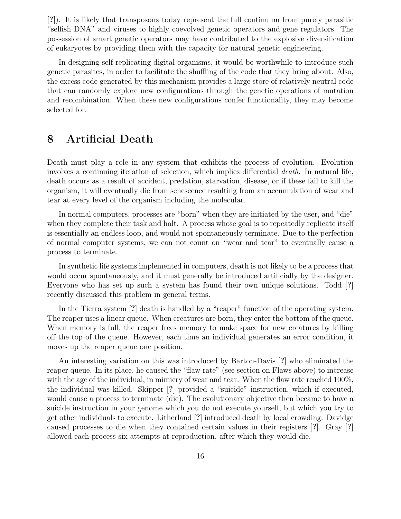[?]). It is likely that transposons today represent the full continuum from purely parasitic "selfish DNA" and viruses to highly coevolved genetic operators and gene regulators. The possession of smart genetic operators may have contributed to the explosive diversification of eukaryotes by providing them with the capacity for natural genetic engineering.

In designing self replicating digital organisms, it would be worthwhile to introduce such genetic parasites, in order to facilitate the shuffling of the code that they bring about. Also, the excess code generated by this mechanism provides a large store of relatively neutral code that can randomly explore new configurations through the genetic operations of mutation and recombination. When these new configurations confer functionality, they may become selected for.

# 8 Artificial Death

Death must play a role in any system that exhibits the process of evolution. Evolution involves a continuing iteration of selection, which implies differential death. In natural life, death occurs as a result of accident, predation, starvation, disease, or if these fail to kill the organism, it will eventually die from senescence resulting from an accumulation of wear and tear at every level of the organism including the molecular.

In normal computers, processes are "born" when they are initiated by the user, and "die" when they complete their task and halt. A process whose goal is to repeatedly replicate itself is essentially an endless loop, and would not spontaneously terminate. Due to the perfection of normal computer systems, we can not count on "wear and tear" to eventually cause a process to terminate.

In synthetic life systems implemented in computers, death is not likely to be a process that would occur spontaneously, and it must generally be introduced artificially by the designer. Everyone who has set up such a system has found their own unique solutions. Todd [?] recently discussed this problem in general terms.

In the Tierra system [?] death is handled by a "reaper" function of the operating system. The reaper uses a linear queue. When creatures are born, they enter the bottom of the queue. When memory is full, the reaper frees memory to make space for new creatures by killing off the top of the queue. However, each time an individual generates an error condition, it moves up the reaper queue one position.

An interesting variation on this was introduced by Barton-Davis [?] who eliminated the reaper queue. In its place, he caused the "flaw rate" (see section on Flaws above) to increase with the age of the individual, in mimicry of wear and tear. When the flaw rate reached 100%, the individual was killed. Skipper [?] provided a "suicide" instruction, which if executed, would cause a process to terminate (die). The evolutionary objective then became to have a suicide instruction in your genome which you do not execute yourself, but which you try to get other individuals to execute. Litherland [?] introduced death by local crowding. Davidge caused processes to die when they contained certain values in their registers [?]. Gray [?] allowed each process six attempts at reproduction, after which they would die.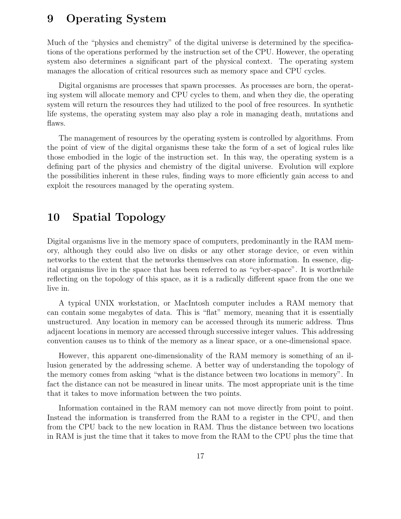# 9 Operating System

Much of the "physics and chemistry" of the digital universe is determined by the specifications of the operations performed by the instruction set of the CPU. However, the operating system also determines a significant part of the physical context. The operating system manages the allocation of critical resources such as memory space and CPU cycles.

Digital organisms are processes that spawn processes. As processes are born, the operating system will allocate memory and CPU cycles to them, and when they die, the operating system will return the resources they had utilized to the pool of free resources. In synthetic life systems, the operating system may also play a role in managing death, mutations and flaws.

The management of resources by the operating system is controlled by algorithms. From the point of view of the digital organisms these take the form of a set of logical rules like those embodied in the logic of the instruction set. In this way, the operating system is a defining part of the physics and chemistry of the digital universe. Evolution will explore the possibilities inherent in these rules, finding ways to more efficiently gain access to and exploit the resources managed by the operating system.

# 10 Spatial Topology

Digital organisms live in the memory space of computers, predominantly in the RAM memory, although they could also live on disks or any other storage device, or even within networks to the extent that the networks themselves can store information. In essence, digital organisms live in the space that has been referred to as "cyber-space". It is worthwhile reflecting on the topology of this space, as it is a radically different space from the one we live in.

A typical UNIX workstation, or MacIntosh computer includes a RAM memory that can contain some megabytes of data. This is "flat" memory, meaning that it is essentially unstructured. Any location in memory can be accessed through its numeric address. Thus adjacent locations in memory are accessed through successive integer values. This addressing convention causes us to think of the memory as a linear space, or a one-dimensional space.

However, this apparent one-dimensionality of the RAM memory is something of an illusion generated by the addressing scheme. A better way of understanding the topology of the memory comes from asking "what is the distance between two locations in memory". In fact the distance can not be measured in linear units. The most appropriate unit is the time that it takes to move information between the two points.

Information contained in the RAM memory can not move directly from point to point. Instead the information is transferred from the RAM to a register in the CPU, and then from the CPU back to the new location in RAM. Thus the distance between two locations in RAM is just the time that it takes to move from the RAM to the CPU plus the time that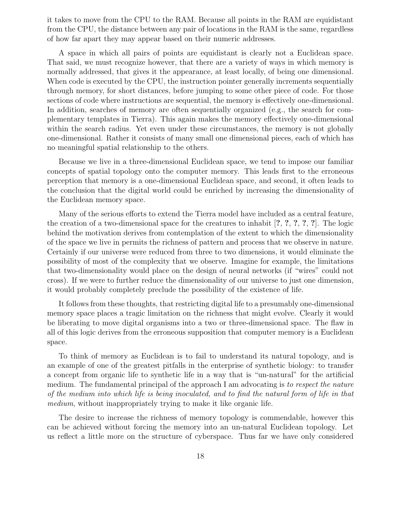it takes to move from the CPU to the RAM. Because all points in the RAM are equidistant from the CPU, the distance between any pair of locations in the RAM is the same, regardless of how far apart they may appear based on their numeric addresses.

A space in which all pairs of points are equidistant is clearly not a Euclidean space. That said, we must recognize however, that there are a variety of ways in which memory is normally addressed, that gives it the appearance, at least locally, of being one dimensional. When code is executed by the CPU, the instruction pointer generally increments sequentially through memory, for short distances, before jumping to some other piece of code. For those sections of code where instructions are sequential, the memory is effectively one-dimensional. In addition, searches of memory are often sequentially organized (e.g., the search for complementary templates in Tierra). This again makes the memory effectively one-dimensional within the search radius. Yet even under these circumstances, the memory is not globally one-dimensional. Rather it consists of many small one dimensional pieces, each of which has no meaningful spatial relationship to the others.

Because we live in a three-dimensional Euclidean space, we tend to impose our familiar concepts of spatial topology onto the computer memory. This leads first to the erroneous perception that memory is a one-dimensional Euclidean space, and second, it often leads to the conclusion that the digital world could be enriched by increasing the dimensionality of the Euclidean memory space.

Many of the serious efforts to extend the Tierra model have included as a central feature, the creation of a two-dimensional space for the creatures to inhabit [?, ?, ?, ?, ?]. The logic behind the motivation derives from contemplation of the extent to which the dimensionality of the space we live in permits the richness of pattern and process that we observe in nature. Certainly if our universe were reduced from three to two dimensions, it would eliminate the possibility of most of the complexity that we observe. Imagine for example, the limitations that two-dimensionality would place on the design of neural networks (if "wires" could not cross). If we were to further reduce the dimensionality of our universe to just one dimension, it would probably completely preclude the possibility of the existence of life.

It follows from these thoughts, that restricting digital life to a presumably one-dimensional memory space places a tragic limitation on the richness that might evolve. Clearly it would be liberating to move digital organisms into a two or three-dimensional space. The flaw in all of this logic derives from the erroneous supposition that computer memory is a Euclidean space.

To think of memory as Euclidean is to fail to understand its natural topology, and is an example of one of the greatest pitfalls in the enterprise of synthetic biology: to transfer a concept from organic life to synthetic life in a way that is "un-natural" for the artificial medium. The fundamental principal of the approach I am advocating is to respect the nature of the medium into which life is being inoculated, and to find the natural form of life in that medium, without inappropriately trying to make it like organic life.

The desire to increase the richness of memory topology is commendable, however this can be achieved without forcing the memory into an un-natural Euclidean topology. Let us reflect a little more on the structure of cyberspace. Thus far we have only considered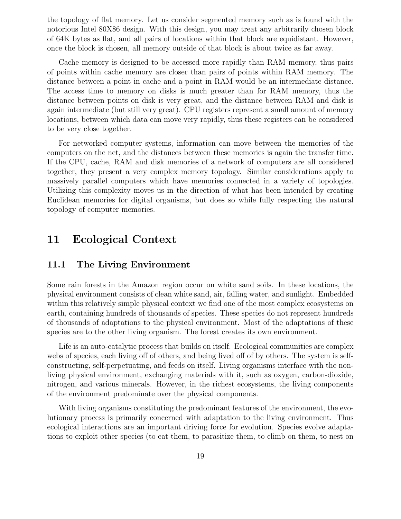the topology of flat memory. Let us consider segmented memory such as is found with the notorious Intel 80X86 design. With this design, you may treat any arbitrarily chosen block of 64K bytes as flat, and all pairs of locations within that block are equidistant. However, once the block is chosen, all memory outside of that block is about twice as far away.

Cache memory is designed to be accessed more rapidly than RAM memory, thus pairs of points within cache memory are closer than pairs of points within RAM memory. The distance between a point in cache and a point in RAM would be an intermediate distance. The access time to memory on disks is much greater than for RAM memory, thus the distance between points on disk is very great, and the distance between RAM and disk is again intermediate (but still very great). CPU registers represent a small amount of memory locations, between which data can move very rapidly, thus these registers can be considered to be very close together.

For networked computer systems, information can move between the memories of the computers on the net, and the distances between these memories is again the transfer time. If the CPU, cache, RAM and disk memories of a network of computers are all considered together, they present a very complex memory topology. Similar considerations apply to massively parallel computers which have memories connected in a variety of topologies. Utilizing this complexity moves us in the direction of what has been intended by creating Euclidean memories for digital organisms, but does so while fully respecting the natural topology of computer memories.

## 11 Ecological Context

### 11.1 The Living Environment

Some rain forests in the Amazon region occur on white sand soils. In these locations, the physical environment consists of clean white sand, air, falling water, and sunlight. Embedded within this relatively simple physical context we find one of the most complex ecosystems on earth, containing hundreds of thousands of species. These species do not represent hundreds of thousands of adaptations to the physical environment. Most of the adaptations of these species are to the other living organism. The forest creates its own environment.

Life is an auto-catalytic process that builds on itself. Ecological communities are complex webs of species, each living off of others, and being lived off of by others. The system is selfconstructing, self-perpetuating, and feeds on itself. Living organisms interface with the nonliving physical environment, exchanging materials with it, such as oxygen, carbon-dioxide, nitrogen, and various minerals. However, in the richest ecosystems, the living components of the environment predominate over the physical components.

With living organisms constituting the predominant features of the environment, the evolutionary process is primarily concerned with adaptation to the living environment. Thus ecological interactions are an important driving force for evolution. Species evolve adaptations to exploit other species (to eat them, to parasitize them, to climb on them, to nest on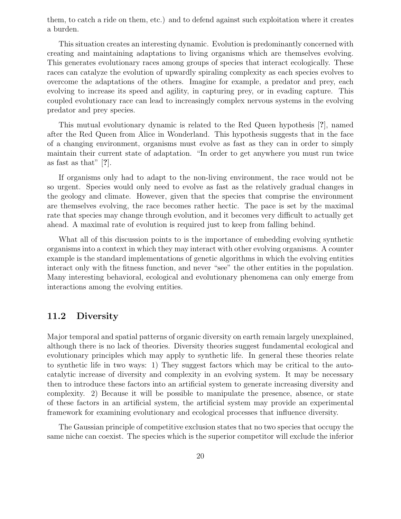them, to catch a ride on them, etc.) and to defend against such exploitation where it creates a burden.

This situation creates an interesting dynamic. Evolution is predominantly concerned with creating and maintaining adaptations to living organisms which are themselves evolving. This generates evolutionary races among groups of species that interact ecologically. These races can catalyze the evolution of upwardly spiraling complexity as each species evolves to overcome the adaptations of the others. Imagine for example, a predator and prey, each evolving to increase its speed and agility, in capturing prey, or in evading capture. This coupled evolutionary race can lead to increasingly complex nervous systems in the evolving predator and prey species.

This mutual evolutionary dynamic is related to the Red Queen hypothesis [?], named after the Red Queen from Alice in Wonderland. This hypothesis suggests that in the face of a changing environment, organisms must evolve as fast as they can in order to simply maintain their current state of adaptation. "In order to get anywhere you must run twice as fast as that" [?].

If organisms only had to adapt to the non-living environment, the race would not be so urgent. Species would only need to evolve as fast as the relatively gradual changes in the geology and climate. However, given that the species that comprise the environment are themselves evolving, the race becomes rather hectic. The pace is set by the maximal rate that species may change through evolution, and it becomes very difficult to actually get ahead. A maximal rate of evolution is required just to keep from falling behind.

What all of this discussion points to is the importance of embedding evolving synthetic organisms into a context in which they may interact with other evolving organisms. A counter example is the standard implementations of genetic algorithms in which the evolving entities interact only with the fitness function, and never "see" the other entities in the population. Many interesting behavioral, ecological and evolutionary phenomena can only emerge from interactions among the evolving entities.

#### 11.2 Diversity

Major temporal and spatial patterns of organic diversity on earth remain largely unexplained, although there is no lack of theories. Diversity theories suggest fundamental ecological and evolutionary principles which may apply to synthetic life. In general these theories relate to synthetic life in two ways: 1) They suggest factors which may be critical to the autocatalytic increase of diversity and complexity in an evolving system. It may be necessary then to introduce these factors into an artificial system to generate increasing diversity and complexity. 2) Because it will be possible to manipulate the presence, absence, or state of these factors in an artificial system, the artificial system may provide an experimental framework for examining evolutionary and ecological processes that influence diversity.

The Gaussian principle of competitive exclusion states that no two species that occupy the same niche can coexist. The species which is the superior competitor will exclude the inferior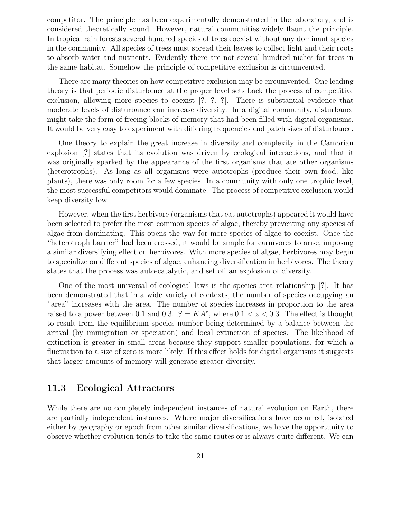competitor. The principle has been experimentally demonstrated in the laboratory, and is considered theoretically sound. However, natural communities widely flaunt the principle. In tropical rain forests several hundred species of trees coexist without any dominant species in the community. All species of trees must spread their leaves to collect light and their roots to absorb water and nutrients. Evidently there are not several hundred niches for trees in the same habitat. Somehow the principle of competitive exclusion is circumvented.

There are many theories on how competitive exclusion may be circumvented. One leading theory is that periodic disturbance at the proper level sets back the process of competitive exclusion, allowing more species to coexist [?, ?, ?]. There is substantial evidence that moderate levels of disturbance can increase diversity. In a digital community, disturbance might take the form of freeing blocks of memory that had been filled with digital organisms. It would be very easy to experiment with differing frequencies and patch sizes of disturbance.

One theory to explain the great increase in diversity and complexity in the Cambrian explosion [?] states that its evolution was driven by ecological interactions, and that it was originally sparked by the appearance of the first organisms that ate other organisms (heterotrophs). As long as all organisms were autotrophs (produce their own food, like plants), there was only room for a few species. In a community with only one trophic level, the most successful competitors would dominate. The process of competitive exclusion would keep diversity low.

However, when the first herbivore (organisms that eat autotrophs) appeared it would have been selected to prefer the most common species of algae, thereby preventing any species of algae from dominating. This opens the way for more species of algae to coexist. Once the "heterotroph barrier" had been crossed, it would be simple for carnivores to arise, imposing a similar diversifying effect on herbivores. With more species of algae, herbivores may begin to specialize on different species of algae, enhancing diversification in herbivores. The theory states that the process was auto-catalytic, and set off an explosion of diversity.

One of the most universal of ecological laws is the species area relationship [?]. It has been demonstrated that in a wide variety of contexts, the number of species occupying an "area" increases with the area. The number of species increases in proportion to the area raised to a power between 0.1 and 0.3.  $S = KA^z$ , where  $0.1 < z < 0.3$ . The effect is thought to result from the equilibrium species number being determined by a balance between the arrival (by immigration or speciation) and local extinction of species. The likelihood of extinction is greater in small areas because they support smaller populations, for which a fluctuation to a size of zero is more likely. If this effect holds for digital organisms it suggests that larger amounts of memory will generate greater diversity.

#### 11.3 Ecological Attractors

While there are no completely independent instances of natural evolution on Earth, there are partially independent instances. Where major diversifications have occurred, isolated either by geography or epoch from other similar diversifications, we have the opportunity to observe whether evolution tends to take the same routes or is always quite different. We can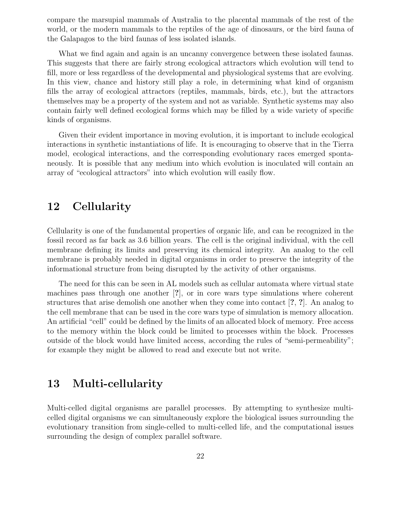compare the marsupial mammals of Australia to the placental mammals of the rest of the world, or the modern mammals to the reptiles of the age of dinosaurs, or the bird fauna of the Galapagos to the bird faunas of less isolated islands.

What we find again and again is an uncanny convergence between these isolated faunas. This suggests that there are fairly strong ecological attractors which evolution will tend to fill, more or less regardless of the developmental and physiological systems that are evolving. In this view, chance and history still play a role, in determining what kind of organism fills the array of ecological attractors (reptiles, mammals, birds, etc.), but the attractors themselves may be a property of the system and not as variable. Synthetic systems may also contain fairly well defined ecological forms which may be filled by a wide variety of specific kinds of organisms.

Given their evident importance in moving evolution, it is important to include ecological interactions in synthetic instantiations of life. It is encouraging to observe that in the Tierra model, ecological interactions, and the corresponding evolutionary races emerged spontaneously. It is possible that any medium into which evolution is inoculated will contain an array of "ecological attractors" into which evolution will easily flow.

### 12 Cellularity

Cellularity is one of the fundamental properties of organic life, and can be recognized in the fossil record as far back as 3.6 billion years. The cell is the original individual, with the cell membrane defining its limits and preserving its chemical integrity. An analog to the cell membrane is probably needed in digital organisms in order to preserve the integrity of the informational structure from being disrupted by the activity of other organisms.

The need for this can be seen in AL models such as cellular automata where virtual state machines pass through one another [?], or in core wars type simulations where coherent structures that arise demolish one another when they come into contact [?, ?]. An analog to the cell membrane that can be used in the core wars type of simulation is memory allocation. An artificial "cell" could be defined by the limits of an allocated block of memory. Free access to the memory within the block could be limited to processes within the block. Processes outside of the block would have limited access, according the rules of "semi-permeability"; for example they might be allowed to read and execute but not write.

# 13 Multi-cellularity

Multi-celled digital organisms are parallel processes. By attempting to synthesize multicelled digital organisms we can simultaneously explore the biological issues surrounding the evolutionary transition from single-celled to multi-celled life, and the computational issues surrounding the design of complex parallel software.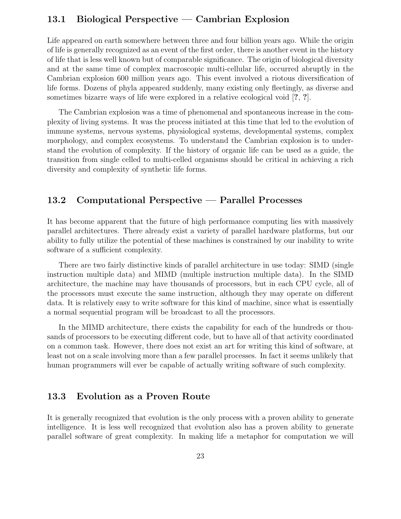### 13.1 Biological Perspective — Cambrian Explosion

Life appeared on earth somewhere between three and four billion years ago. While the origin of life is generally recognized as an event of the first order, there is another event in the history of life that is less well known but of comparable significance. The origin of biological diversity and at the same time of complex macroscopic multi-cellular life, occurred abruptly in the Cambrian explosion 600 million years ago. This event involved a riotous diversification of life forms. Dozens of phyla appeared suddenly, many existing only fleetingly, as diverse and sometimes bizarre ways of life were explored in a relative ecological void [?, ?].

The Cambrian explosion was a time of phenomenal and spontaneous increase in the complexity of living systems. It was the process initiated at this time that led to the evolution of immune systems, nervous systems, physiological systems, developmental systems, complex morphology, and complex ecosystems. To understand the Cambrian explosion is to understand the evolution of complexity. If the history of organic life can be used as a guide, the transition from single celled to multi-celled organisms should be critical in achieving a rich diversity and complexity of synthetic life forms.

#### 13.2 Computational Perspective — Parallel Processes

It has become apparent that the future of high performance computing lies with massively parallel architectures. There already exist a variety of parallel hardware platforms, but our ability to fully utilize the potential of these machines is constrained by our inability to write software of a sufficient complexity.

There are two fairly distinctive kinds of parallel architecture in use today: SIMD (single instruction multiple data) and MIMD (multiple instruction multiple data). In the SIMD architecture, the machine may have thousands of processors, but in each CPU cycle, all of the processors must execute the same instruction, although they may operate on different data. It is relatively easy to write software for this kind of machine, since what is essentially a normal sequential program will be broadcast to all the processors.

In the MIMD architecture, there exists the capability for each of the hundreds or thousands of processors to be executing different code, but to have all of that activity coordinated on a common task. However, there does not exist an art for writing this kind of software, at least not on a scale involving more than a few parallel processes. In fact it seems unlikely that human programmers will ever be capable of actually writing software of such complexity.

### 13.3 Evolution as a Proven Route

It is generally recognized that evolution is the only process with a proven ability to generate intelligence. It is less well recognized that evolution also has a proven ability to generate parallel software of great complexity. In making life a metaphor for computation we will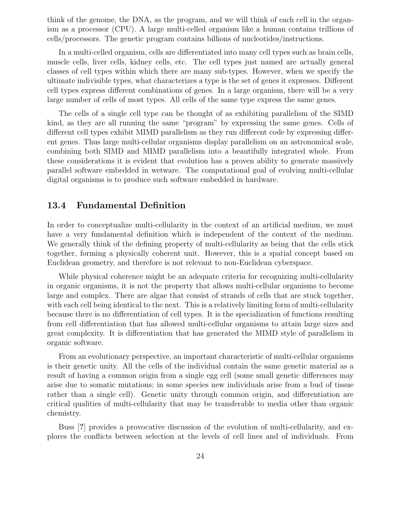think of the genome, the DNA, as the program, and we will think of each cell in the organism as a processor (CPU). A large multi-celled organism like a human contains trillions of cells/processors. The genetic program contains billions of nucleotides/instructions.

In a multi-celled organism, cells are differentiated into many cell types such as brain cells, muscle cells, liver cells, kidney cells, etc. The cell types just named are actually general classes of cell types within which there are many sub-types. However, when we specify the ultimate indivisible types, what characterizes a type is the set of genes it expresses. Different cell types express different combinations of genes. In a large organism, there will be a very large number of cells of most types. All cells of the same type express the same genes.

The cells of a single cell type can be thought of as exhibiting parallelism of the SIMD kind, as they are all running the same "program" by expressing the same genes. Cells of different cell types exhibit MIMD parallelism as they run different code by expressing different genes. Thus large multi-cellular organisms display parallelism on an astronomical scale, combining both SIMD and MIMD parallelism into a beautifully integrated whole. From these considerations it is evident that evolution has a proven ability to generate massively parallel software embedded in wetware. The computational goal of evolving multi-cellular digital organisms is to produce such software embedded in hardware.

### 13.4 Fundamental Definition

In order to conceptualize multi-cellularity in the context of an artificial medium, we must have a very fundamental definition which is independent of the context of the medium. We generally think of the defining property of multi-cellularity as being that the cells stick together, forming a physically coherent unit. However, this is a spatial concept based on Euclidean geometry, and therefore is not relevant to non-Euclidean cyberspace.

While physical coherence might be an adequate criteria for recognizing multi-cellularity in organic organisms, it is not the property that allows multi-cellular organisms to become large and complex. There are algae that consist of strands of cells that are stuck together, with each cell being identical to the next. This is a relatively limiting form of multi-cellularity because there is no differentiation of cell types. It is the specialization of functions resulting from cell differentiation that has allowed multi-cellular organisms to attain large sizes and great complexity. It is differentiation that has generated the MIMD style of parallelism in organic software.

From an evolutionary perspective, an important characteristic of multi-cellular organisms is their genetic unity. All the cells of the individual contain the same genetic material as a result of having a common origin from a single egg cell (some small genetic differences may arise due to somatic mutations; in some species new individuals arise from a bud of tissue rather than a single cell). Genetic unity through common origin, and differentiation are critical qualities of multi-cellularity that may be transferable to media other than organic chemistry.

Buss [?] provides a provocative discussion of the evolution of multi-cellularity, and explores the conflicts between selection at the levels of cell lines and of individuals. From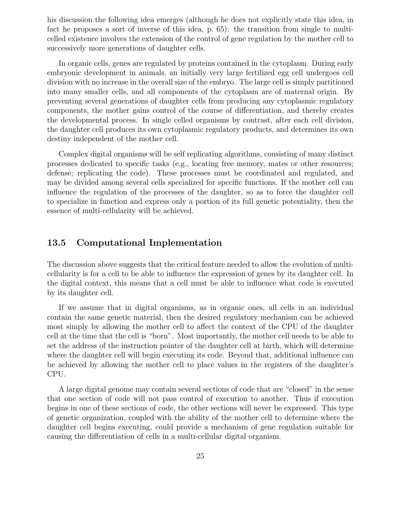his discussion the following idea emerges (although he does not explicitly state this idea, in fact he proposes a sort of inverse of this idea, p. 65): the transition from single to multicelled existence involves the extension of the control of gene regulation by the mother cell to successively more generations of daughter cells.

In organic cells, genes are regulated by proteins contained in the cytoplasm. During early embryonic development in animals, an initially very large fertilized egg cell undergoes cell division with no increase in the overall size of the embryo. The large cell is simply partitioned into many smaller cells, and all components of the cytoplasm are of maternal origin. By preventing several generations of daughter cells from producing any cytoplasmic regulatory components, the mother gains control of the course of differentiation, and thereby creates the developmental process. In single celled organisms by contrast, after each cell division, the daughter cell produces its own cytoplasmic regulatory products, and determines its own destiny independent of the mother cell.

Complex digital organisms will be self replicating algorithms, consisting of many distinct processes dedicated to specific tasks (e.g., locating free memory, mates or other resources; defense; replicating the code). These processes must be coordinated and regulated, and may be divided among several cells specialized for specific functions. If the mother cell can influence the regulation of the processes of the daughter, so as to force the daughter cell to specialize in function and express only a portion of its full genetic potentiality, then the essence of multi-cellularity will be achieved.

### 13.5 Computational Implementation

The discussion above suggests that the critical feature needed to allow the evolution of multicellularity is for a cell to be able to influence the expression of genes by its daughter cell. In the digital context, this means that a cell must be able to influence what code is executed by its daughter cell.

If we assume that in digital organisms, as in organic ones, all cells in an individual contain the same genetic material, then the desired regulatory mechanism can be achieved most simply by allowing the mother cell to affect the context of the CPU of the daughter cell at the time that the cell is "born". Most importantly, the mother cell needs to be able to set the address of the instruction pointer of the daughter cell at birth, which will determine where the daughter cell will begin executing its code. Beyond that, additional influence can be achieved by allowing the mother cell to place values in the registers of the daughter's CPU.

A large digital genome may contain several sections of code that are "closed" in the sense that one section of code will not pass control of execution to another. Thus if execution begins in one of these sections of code, the other sections will never be expressed. This type of genetic organization, coupled with the ability of the mother cell to determine where the daughter cell begins executing, could provide a mechanism of gene regulation suitable for causing the differentiation of cells in a multi-cellular digital organism.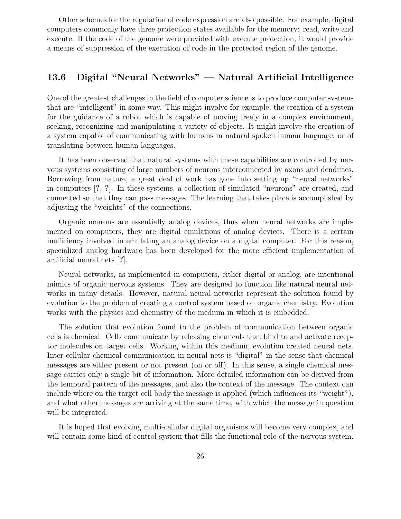Other schemes for the regulation of code expression are also possible. For example, digital computers commonly have three protection states available for the memory: read, write and execute. If the code of the genome were provided with execute protection, it would provide a means of suppression of the execution of code in the protected region of the genome.

### 13.6 Digital "Neural Networks" — Natural Artificial Intelligence

One of the greatest challenges in the field of computer science is to produce computer systems that are "intelligent" in some way. This might involve for example, the creation of a system for the guidance of a robot which is capable of moving freely in a complex environment, seeking, recognizing and manipulating a variety of objects. It might involve the creation of a system capable of communicating with humans in natural spoken human language, or of translating between human languages.

It has been observed that natural systems with these capabilities are controlled by nervous systems consisting of large numbers of neurons interconnected by axons and dendrites. Borrowing from nature, a great deal of work has gone into setting up "neural networks" in computers [?, ?]. In these systems, a collection of simulated "neurons" are created, and connected so that they can pass messages. The learning that takes place is accomplished by adjusting the "weights" of the connections.

Organic neurons are essentially analog devices, thus when neural networks are implemented on computers, they are digital emulations of analog devices. There is a certain inefficiency involved in emulating an analog device on a digital computer. For this reason, specialized analog hardware has been developed for the more efficient implementation of artificial neural nets [?].

Neural networks, as implemented in computers, either digital or analog, are intentional mimics of organic nervous systems. They are designed to function like natural neural networks in many details. However, natural neural networks represent the solution found by evolution to the problem of creating a control system based on organic chemistry. Evolution works with the physics and chemistry of the medium in which it is embedded.

The solution that evolution found to the problem of communication between organic cells is chemical. Cells communicate by releasing chemicals that bind to and activate receptor molecules on target cells. Working within this medium, evolution created neural nets. Inter-cellular chemical communication in neural nets is "digital" in the sense that chemical messages are either present or not present (on or off). In this sense, a single chemical message carries only a single bit of information. More detailed information can be derived from the temporal pattern of the messages, and also the context of the message. The context can include where on the target cell body the message is applied (which influences its "weight"), and what other messages are arriving at the same time, with which the message in question will be integrated.

It is hoped that evolving multi-cellular digital organisms will become very complex, and will contain some kind of control system that fills the functional role of the nervous system.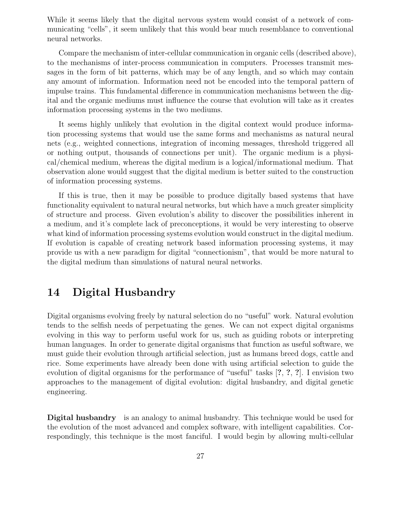While it seems likely that the digital nervous system would consist of a network of communicating "cells", it seem unlikely that this would bear much resemblance to conventional neural networks.

Compare the mechanism of inter-cellular communication in organic cells (described above), to the mechanisms of inter-process communication in computers. Processes transmit messages in the form of bit patterns, which may be of any length, and so which may contain any amount of information. Information need not be encoded into the temporal pattern of impulse trains. This fundamental difference in communication mechanisms between the digital and the organic mediums must influence the course that evolution will take as it creates information processing systems in the two mediums.

It seems highly unlikely that evolution in the digital context would produce information processing systems that would use the same forms and mechanisms as natural neural nets (e.g., weighted connections, integration of incoming messages, threshold triggered all or nothing output, thousands of connections per unit). The organic medium is a physical/chemical medium, whereas the digital medium is a logical/informational medium. That observation alone would suggest that the digital medium is better suited to the construction of information processing systems.

If this is true, then it may be possible to produce digitally based systems that have functionality equivalent to natural neural networks, but which have a much greater simplicity of structure and process. Given evolution's ability to discover the possibilities inherent in a medium, and it's complete lack of preconceptions, it would be very interesting to observe what kind of information processing systems evolution would construct in the digital medium. If evolution is capable of creating network based information processing systems, it may provide us with a new paradigm for digital "connectionism", that would be more natural to the digital medium than simulations of natural neural networks.

## 14 Digital Husbandry

Digital organisms evolving freely by natural selection do no "useful" work. Natural evolution tends to the selfish needs of perpetuating the genes. We can not expect digital organisms evolving in this way to perform useful work for us, such as guiding robots or interpreting human languages. In order to generate digital organisms that function as useful software, we must guide their evolution through artificial selection, just as humans breed dogs, cattle and rice. Some experiments have already been done with using artificial selection to guide the evolution of digital organisms for the performance of "useful" tasks [?, ?, ?]. I envision two approaches to the management of digital evolution: digital husbandry, and digital genetic engineering.

Digital husbandry is an analogy to animal husbandry. This technique would be used for the evolution of the most advanced and complex software, with intelligent capabilities. Correspondingly, this technique is the most fanciful. I would begin by allowing multi-cellular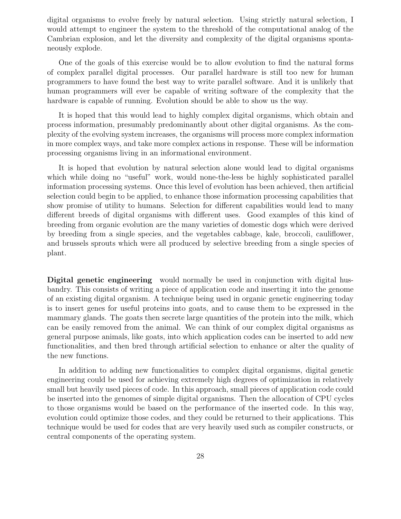digital organisms to evolve freely by natural selection. Using strictly natural selection, I would attempt to engineer the system to the threshold of the computational analog of the Cambrian explosion, and let the diversity and complexity of the digital organisms spontaneously explode.

One of the goals of this exercise would be to allow evolution to find the natural forms of complex parallel digital processes. Our parallel hardware is still too new for human programmers to have found the best way to write parallel software. And it is unlikely that human programmers will ever be capable of writing software of the complexity that the hardware is capable of running. Evolution should be able to show us the way.

It is hoped that this would lead to highly complex digital organisms, which obtain and process information, presumably predominantly about other digital organisms. As the complexity of the evolving system increases, the organisms will process more complex information in more complex ways, and take more complex actions in response. These will be information processing organisms living in an informational environment.

It is hoped that evolution by natural selection alone would lead to digital organisms which while doing no "useful" work, would none-the-less be highly sophisticated parallel information processing systems. Once this level of evolution has been achieved, then artificial selection could begin to be applied, to enhance those information processing capabilities that show promise of utility to humans. Selection for different capabilities would lead to many different breeds of digital organisms with different uses. Good examples of this kind of breeding from organic evolution are the many varieties of domestic dogs which were derived by breeding from a single species, and the vegetables cabbage, kale, broccoli, cauliflower, and brussels sprouts which were all produced by selective breeding from a single species of plant.

Digital genetic engineering would normally be used in conjunction with digital husbandry. This consists of writing a piece of application code and inserting it into the genome of an existing digital organism. A technique being used in organic genetic engineering today is to insert genes for useful proteins into goats, and to cause them to be expressed in the mammary glands. The goats then secrete large quantities of the protein into the milk, which can be easily removed from the animal. We can think of our complex digital organisms as general purpose animals, like goats, into which application codes can be inserted to add new functionalities, and then bred through artificial selection to enhance or alter the quality of the new functions.

In addition to adding new functionalities to complex digital organisms, digital genetic engineering could be used for achieving extremely high degrees of optimization in relatively small but heavily used pieces of code. In this approach, small pieces of application code could be inserted into the genomes of simple digital organisms. Then the allocation of CPU cycles to those organisms would be based on the performance of the inserted code. In this way, evolution could optimize those codes, and they could be returned to their applications. This technique would be used for codes that are very heavily used such as compiler constructs, or central components of the operating system.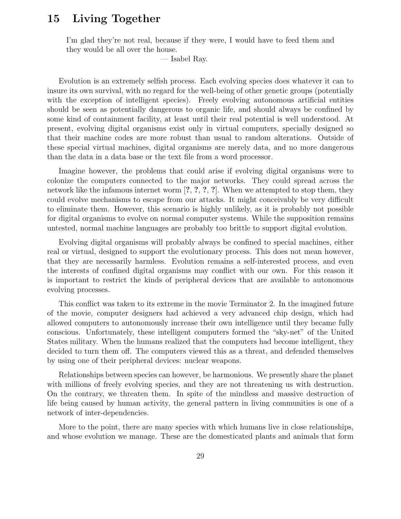# 15 Living Together

I'm glad they're not real, because if they were, I would have to feed them and they would be all over the house.

— Isabel Ray.

Evolution is an extremely selfish process. Each evolving species does whatever it can to insure its own survival, with no regard for the well-being of other genetic groups (potentially with the exception of intelligent species). Freely evolving autonomous artificial entities should be seen as potentially dangerous to organic life, and should always be confined by some kind of containment facility, at least until their real potential is well understood. At present, evolving digital organisms exist only in virtual computers, specially designed so that their machine codes are more robust than usual to random alterations. Outside of these special virtual machines, digital organisms are merely data, and no more dangerous than the data in a data base or the text file from a word processor.

Imagine however, the problems that could arise if evolving digital organisms were to colonize the computers connected to the major networks. They could spread across the network like the infamous internet worm [?, ?, ?, ?]. When we attempted to stop them, they could evolve mechanisms to escape from our attacks. It might conceivably be very difficult to eliminate them. However, this scenario is highly unlikely, as it is probably not possible for digital organisms to evolve on normal computer systems. While the supposition remains untested, normal machine languages are probably too brittle to support digital evolution.

Evolving digital organisms will probably always be confined to special machines, either real or virtual, designed to support the evolutionary process. This does not mean however, that they are necessarily harmless. Evolution remains a self-interested process, and even the interests of confined digital organisms may conflict with our own. For this reason it is important to restrict the kinds of peripheral devices that are available to autonomous evolving processes.

This conflict was taken to its extreme in the movie Terminator 2. In the imagined future of the movie, computer designers had achieved a very advanced chip design, which had allowed computers to autonomously increase their own intelligence until they became fully conscious. Unfortunately, these intelligent computers formed the "sky-net" of the United States military. When the humans realized that the computers had become intelligent, they decided to turn them off. The computers viewed this as a threat, and defended themselves by using one of their peripheral devices: nuclear weapons.

Relationships between species can however, be harmonious. We presently share the planet with millions of freely evolving species, and they are not threatening us with destruction. On the contrary, we threaten them. In spite of the mindless and massive destruction of life being caused by human activity, the general pattern in living communities is one of a network of inter-dependencies.

More to the point, there are many species with which humans live in close relationships, and whose evolution we manage. These are the domesticated plants and animals that form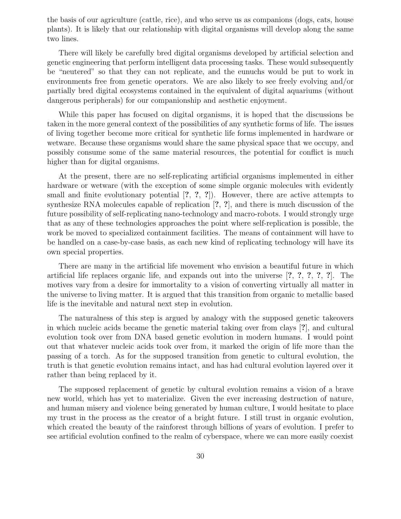the basis of our agriculture (cattle, rice), and who serve us as companions (dogs, cats, house plants). It is likely that our relationship with digital organisms will develop along the same two lines.

There will likely be carefully bred digital organisms developed by artificial selection and genetic engineering that perform intelligent data processing tasks. These would subsequently be "neutered" so that they can not replicate, and the eunuchs would be put to work in environments free from genetic operators. We are also likely to see freely evolving and/or partially bred digital ecosystems contained in the equivalent of digital aquariums (without dangerous peripherals) for our companionship and aesthetic enjoyment.

While this paper has focused on digital organisms, it is hoped that the discussions be taken in the more general context of the possibilities of any synthetic forms of life. The issues of living together become more critical for synthetic life forms implemented in hardware or wetware. Because these organisms would share the same physical space that we occupy, and possibly consume some of the same material resources, the potential for conflict is much higher than for digital organisms.

At the present, there are no self-replicating artificial organisms implemented in either hardware or wetware (with the exception of some simple organic molecules with evidently small and finite evolutionary potential  $[?, ?, ?]$ . However, there are active attempts to synthesize RNA molecules capable of replication [?, ?], and there is much discussion of the future possibility of self-replicating nano-technology and macro-robots. I would strongly urge that as any of these technologies approaches the point where self-replication is possible, the work be moved to specialized containment facilities. The means of containment will have to be handled on a case-by-case basis, as each new kind of replicating technology will have its own special properties.

There are many in the artificial life movement who envision a beautiful future in which artificial life replaces organic life, and expands out into the universe [?, ?, ?, ?, ?]. The motives vary from a desire for immortality to a vision of converting virtually all matter in the universe to living matter. It is argued that this transition from organic to metallic based life is the inevitable and natural next step in evolution.

The naturalness of this step is argued by analogy with the supposed genetic takeovers in which nucleic acids became the genetic material taking over from clays [?], and cultural evolution took over from DNA based genetic evolution in modern humans. I would point out that whatever nucleic acids took over from, it marked the origin of life more than the passing of a torch. As for the supposed transition from genetic to cultural evolution, the truth is that genetic evolution remains intact, and has had cultural evolution layered over it rather than being replaced by it.

The supposed replacement of genetic by cultural evolution remains a vision of a brave new world, which has yet to materialize. Given the ever increasing destruction of nature, and human misery and violence being generated by human culture, I would hesitate to place my trust in the process as the creator of a bright future. I still trust in organic evolution, which created the beauty of the rainforest through billions of years of evolution. I prefer to see artificial evolution confined to the realm of cyberspace, where we can more easily coexist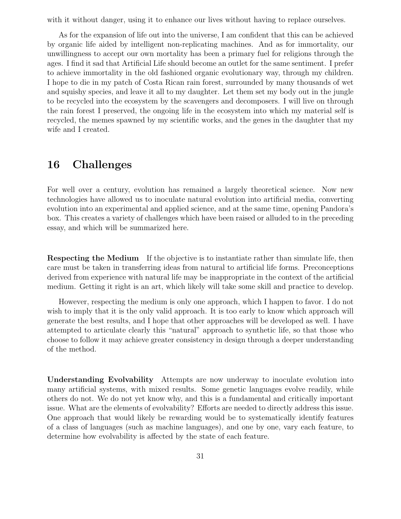with it without danger, using it to enhance our lives without having to replace ourselves.

As for the expansion of life out into the universe, I am confident that this can be achieved by organic life aided by intelligent non-replicating machines. And as for immortality, our unwillingness to accept our own mortality has been a primary fuel for religions through the ages. I find it sad that Artificial Life should become an outlet for the same sentiment. I prefer to achieve immortality in the old fashioned organic evolutionary way, through my children. I hope to die in my patch of Costa Rican rain forest, surrounded by many thousands of wet and squishy species, and leave it all to my daughter. Let them set my body out in the jungle to be recycled into the ecosystem by the scavengers and decomposers. I will live on through the rain forest I preserved, the ongoing life in the ecosystem into which my material self is recycled, the memes spawned by my scientific works, and the genes in the daughter that my wife and I created.

## 16 Challenges

For well over a century, evolution has remained a largely theoretical science. Now new technologies have allowed us to inoculate natural evolution into artificial media, converting evolution into an experimental and applied science, and at the same time, opening Pandora's box. This creates a variety of challenges which have been raised or alluded to in the preceding essay, and which will be summarized here.

Respecting the Medium If the objective is to instantiate rather than simulate life, then care must be taken in transferring ideas from natural to artificial life forms. Preconceptions derived from experience with natural life may be inappropriate in the context of the artificial medium. Getting it right is an art, which likely will take some skill and practice to develop.

However, respecting the medium is only one approach, which I happen to favor. I do not wish to imply that it is the only valid approach. It is too early to know which approach will generate the best results, and I hope that other approaches will be developed as well. I have attempted to articulate clearly this "natural" approach to synthetic life, so that those who choose to follow it may achieve greater consistency in design through a deeper understanding of the method.

Understanding Evolvability Attempts are now underway to inoculate evolution into many artificial systems, with mixed results. Some genetic languages evolve readily, while others do not. We do not yet know why, and this is a fundamental and critically important issue. What are the elements of evolvability? Efforts are needed to directly address this issue. One approach that would likely be rewarding would be to systematically identify features of a class of languages (such as machine languages), and one by one, vary each feature, to determine how evolvability is affected by the state of each feature.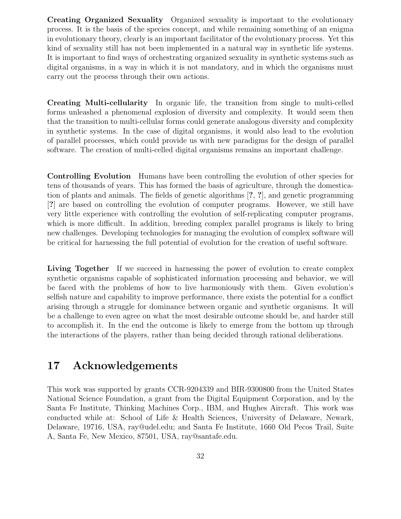Creating Organized Sexuality Organized sexuality is important to the evolutionary process. It is the basis of the species concept, and while remaining something of an enigma in evolutionary theory, clearly is an important facilitator of the evolutionary process. Yet this kind of sexuality still has not been implemented in a natural way in synthetic life systems. It is important to find ways of orchestrating organized sexuality in synthetic systems such as digital organisms, in a way in which it is not mandatory, and in which the organisms must carry out the process through their own actions.

Creating Multi-cellularity In organic life, the transition from single to multi-celled forms unleashed a phenomenal explosion of diversity and complexity. It would seem then that the transition to multi-cellular forms could generate analogous diversity and complexity in synthetic systems. In the case of digital organisms, it would also lead to the evolution of parallel processes, which could provide us with new paradigms for the design of parallel software. The creation of multi-celled digital organisms remains an important challenge.

Controlling Evolution Humans have been controlling the evolution of other species for tens of thousands of years. This has formed the basis of agriculture, through the domestication of plants and animals. The fields of genetic algorithms [?, ?], and genetic programming [?] are based on controlling the evolution of computer programs. However, we still have very little experience with controlling the evolution of self-replicating computer programs, which is more difficult. In addition, breeding complex parallel programs is likely to bring new challenges. Developing technologies for managing the evolution of complex software will be critical for harnessing the full potential of evolution for the creation of useful software.

Living Together If we succeed in harnessing the power of evolution to create complex synthetic organisms capable of sophisticated information processing and behavior, we will be faced with the problems of how to live harmoniously with them. Given evolution's selfish nature and capability to improve performance, there exists the potential for a conflict arising through a struggle for dominance between organic and synthetic organisms. It will be a challenge to even agree on what the most desirable outcome should be, and harder still to accomplish it. In the end the outcome is likely to emerge from the bottom up through the interactions of the players, rather than being decided through rational deliberations.

## 17 Acknowledgements

This work was supported by grants CCR-9204339 and BIR-9300800 from the United States National Science Foundation, a grant from the Digital Equipment Corporation, and by the Santa Fe Institute, Thinking Machines Corp., IBM, and Hughes Aircraft. This work was conducted while at: School of Life & Health Sciences, University of Delaware, Newark, Delaware, 19716, USA, ray@udel.edu; and Santa Fe Institute, 1660 Old Pecos Trail, Suite A, Santa Fe, New Mexico, 87501, USA, ray@santafe.edu.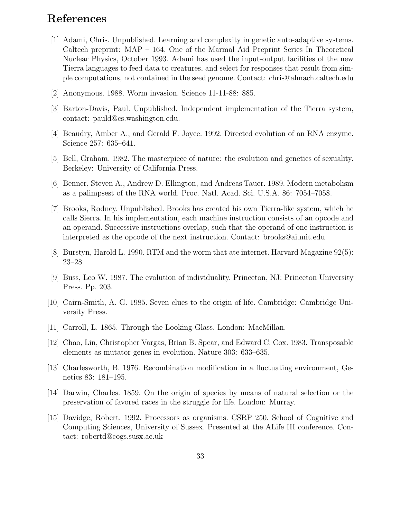# References

- [1] Adami, Chris. Unpublished. Learning and complexity in genetic auto-adaptive systems. Caltech preprint: MAP – 164, One of the Marmal Aid Preprint Series In Theoretical Nuclear Physics, October 1993. Adami has used the input-output facilities of the new Tierra languages to feed data to creatures, and select for responses that result from simple computations, not contained in the seed genome. Contact: chris@almach.caltech.edu
- [2] Anonymous. 1988. Worm invasion. Science 11-11-88: 885.
- [3] Barton-Davis, Paul. Unpublished. Independent implementation of the Tierra system, contact: pauld@cs.washington.edu.
- [4] Beaudry, Amber A., and Gerald F. Joyce. 1992. Directed evolution of an RNA enzyme. Science 257: 635–641.
- [5] Bell, Graham. 1982. The masterpiece of nature: the evolution and genetics of sexuality. Berkeley: University of California Press.
- [6] Benner, Steven A., Andrew D. Ellington, and Andreas Tauer. 1989. Modern metabolism as a palimpsest of the RNA world. Proc. Natl. Acad. Sci. U.S.A. 86: 7054–7058.
- [7] Brooks, Rodney. Unpublished. Brooks has created his own Tierra-like system, which he calls Sierra. In his implementation, each machine instruction consists of an opcode and an operand. Successive instructions overlap, such that the operand of one instruction is interpreted as the opcode of the next instruction. Contact: brooks@ai.mit.edu
- [8] Burstyn, Harold L. 1990. RTM and the worm that ate internet. Harvard Magazine 92(5): 23–28.
- [9] Buss, Leo W. 1987. The evolution of individuality. Princeton, NJ: Princeton University Press. Pp. 203.
- [10] Cairn-Smith, A. G. 1985. Seven clues to the origin of life. Cambridge: Cambridge University Press.
- [11] Carroll, L. 1865. Through the Looking-Glass. London: MacMillan.
- [12] Chao, Lin, Christopher Vargas, Brian B. Spear, and Edward C. Cox. 1983. Transposable elements as mutator genes in evolution. Nature 303: 633–635.
- [13] Charlesworth, B. 1976. Recombination modification in a fluctuating environment, Genetics 83: 181–195.
- [14] Darwin, Charles. 1859. On the origin of species by means of natural selection or the preservation of favored races in the struggle for life. London: Murray.
- [15] Davidge, Robert. 1992. Processors as organisms. CSRP 250. School of Cognitive and Computing Sciences, University of Sussex. Presented at the ALife III conference. Contact: robertd@cogs.susx.ac.uk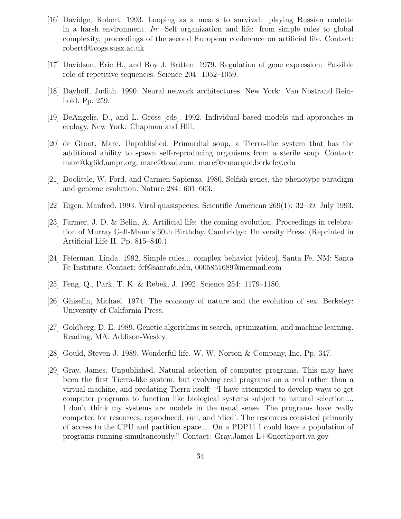- [16] Davidge, Robert. 1993. Looping as a means to survival: playing Russian roulette in a harsh environment. In: Self organization and life: from simple rules to global complexity, proceedings of the second European conference on artificial life. Contact: robertd@cogs.susx.ac.uk
- [17] Davidson, Eric H., and Roy J. Britten. 1979. Regulation of gene expression: Possible role of repetitive sequences. Science 204: 1052–1059.
- [18] Dayhoff, Judith. 1990. Neural network architectures. New York: Van Nostrand Reinhold. Pp. 259.
- [19] DeAngelis, D., and L. Gross [eds]. 1992. Individual based models and approaches in ecology. New York: Chapman and Hill.
- [20] de Groot, Marc. Unpublished. Primordial soup, a Tierra-like system that has the additional ability to spawn self-reproducing organisms from a sterile soup. Contact: marc@kg6kf.ampr.org, marc@toad.com, marc@remarque.berkeley.edu
- [21] Doolittle, W. Ford, and Carmen Sapienza. 1980. Selfish genes, the phenotype paradigm and genome evolution. Nature 284: 601–603.
- [22] Eigen, Manfred. 1993. Viral quasispecies. Scientific American 269(1): 32–39. July 1993.
- [23] Farmer, J. D. & Belin, A. Artificial life: the coming evolution. Proceedings in celebration of Murray Gell-Mann's 60th Birthday. Cambridge: University Press. (Reprinted in Artificial Life II. Pp. 815–840.)
- [24] Feferman, Linda. 1992. Simple rules... complex behavior [video]. Santa Fe, NM: Santa Fe Institute. Contact: fef@santafe.edu, 0005851689@mcimail.com
- [25] Feng, Q., Park, T. K. & Rebek, J. 1992. Science 254: 1179–1180.
- [26] Ghiselin, Michael. 1974. The economy of nature and the evolution of sex. Berkeley: University of California Press.
- [27] Goldberg, D. E. 1989. Genetic algorithms in search, optimization, and machine learning. Reading, MA: Addison-Wesley.
- [28] Gould, Steven J. 1989. Wonderful life. W. W. Norton & Company, Inc. Pp. 347.
- [29] Gray, James. Unpublished. Natural selection of computer programs. This may have been the first Tierra-like system, but evolving real programs on a real rather than a virtual machine, and predating Tierra itself: "I have attempted to develop ways to get computer programs to function like biological systems subject to natural selection.... I don't think my systems are models in the usual sense. The programs have really competed for resources, reproduced, run, and 'died'. The resources consisted primarily of access to the CPU and partition space.... On a PDP11 I could have a population of programs running simultaneously." Contact: Gray.James L+@northport.va.gov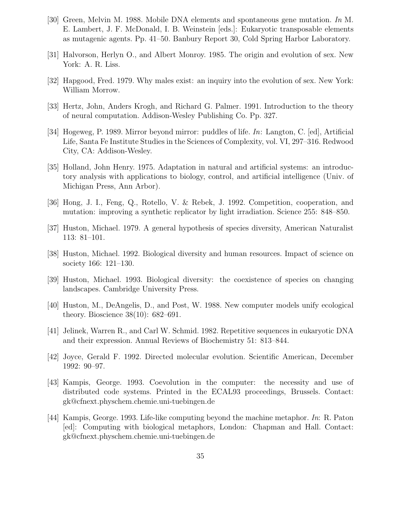- [30] Green, Melvin M. 1988. Mobile DNA elements and spontaneous gene mutation. In M. E. Lambert, J. F. McDonald, I. B. Weinstein [eds.]: Eukaryotic transposable elements as mutagenic agents. Pp. 41–50. Banbury Report 30, Cold Spring Harbor Laboratory.
- [31] Halvorson, Herlyn O., and Albert Monroy. 1985. The origin and evolution of sex. New York: A. R. Liss.
- [32] Hapgood, Fred. 1979. Why males exist: an inquiry into the evolution of sex. New York: William Morrow.
- [33] Hertz, John, Anders Krogh, and Richard G. Palmer. 1991. Introduction to the theory of neural computation. Addison-Wesley Publishing Co. Pp. 327.
- [34] Hogeweg, P. 1989. Mirror beyond mirror: puddles of life. In: Langton, C. [ed], Artificial Life, Santa Fe Institute Studies in the Sciences of Complexity, vol. VI, 297–316. Redwood City, CA: Addison-Wesley.
- [35] Holland, John Henry. 1975. Adaptation in natural and artificial systems: an introductory analysis with applications to biology, control, and artificial intelligence (Univ. of Michigan Press, Ann Arbor).
- [36] Hong, J. I., Feng, Q., Rotello, V. & Rebek, J. 1992. Competition, cooperation, and mutation: improving a synthetic replicator by light irradiation. Science 255: 848–850.
- [37] Huston, Michael. 1979. A general hypothesis of species diversity, American Naturalist 113: 81–101.
- [38] Huston, Michael. 1992. Biological diversity and human resources. Impact of science on society 166: 121–130.
- [39] Huston, Michael. 1993. Biological diversity: the coexistence of species on changing landscapes. Cambridge University Press.
- [40] Huston, M., DeAngelis, D., and Post, W. 1988. New computer models unify ecological theory. Bioscience 38(10): 682–691.
- [41] Jelinek, Warren R., and Carl W. Schmid. 1982. Repetitive sequences in eukaryotic DNA and their expression. Annual Reviews of Biochemistry 51: 813–844.
- [42] Joyce, Gerald F. 1992. Directed molecular evolution. Scientific American, December 1992: 90–97.
- [43] Kampis, George. 1993. Coevolution in the computer: the necessity and use of distributed code systems. Printed in the ECAL93 proceedings, Brussels. Contact: gk@cfnext.physchem.chemie.uni-tuebingen.de
- [44] Kampis, George. 1993. Life-like computing beyond the machine metaphor. In: R. Paton [ed]: Computing with biological metaphors, London: Chapman and Hall. Contact: gk@cfnext.physchem.chemie.uni-tuebingen.de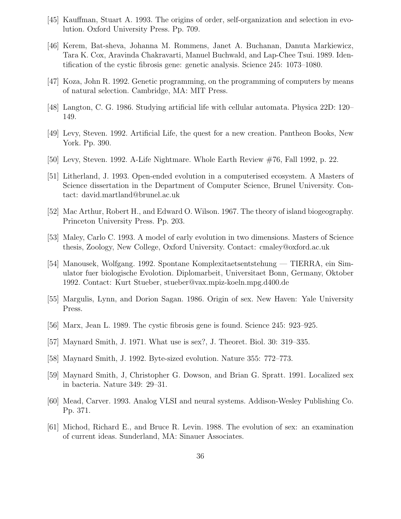- [45] Kauffman, Stuart A. 1993. The origins of order, self-organization and selection in evolution. Oxford University Press. Pp. 709.
- [46] Kerem, Bat-sheva, Johanna M. Rommens, Janet A. Buchanan, Danuta Markiewicz, Tara K. Cox, Aravinda Chakravarti, Manuel Buchwald, and Lap-Chee Tsui. 1989. Identification of the cystic fibrosis gene: genetic analysis. Science 245: 1073–1080.
- [47] Koza, John R. 1992. Genetic programming, on the programming of computers by means of natural selection. Cambridge, MA: MIT Press.
- [48] Langton, C. G. 1986. Studying artificial life with cellular automata. Physica 22D: 120– 149.
- [49] Levy, Steven. 1992. Artificial Life, the quest for a new creation. Pantheon Books, New York. Pp. 390.
- [50] Levy, Steven. 1992. A-Life Nightmare. Whole Earth Review #76, Fall 1992, p. 22.
- [51] Litherland, J. 1993. Open-ended evolution in a computerised ecosystem. A Masters of Science dissertation in the Department of Computer Science, Brunel University. Contact: david.martland@brunel.ac.uk
- [52] Mac Arthur, Robert H., and Edward O. Wilson. 1967. The theory of island biogeography. Princeton University Press. Pp. 203.
- [53] Maley, Carlo C. 1993. A model of early evolution in two dimensions. Masters of Science thesis, Zoology, New College, Oxford University. Contact: cmaley@oxford.ac.uk
- [54] Manousek, Wolfgang. 1992. Spontane Komplexitaetsentstehung TIERRA, ein Simulator fuer biologische Evolotion. Diplomarbeit, Universitaet Bonn, Germany, Oktober 1992. Contact: Kurt Stueber, stueber@vax.mpiz-koeln.mpg.d400.de
- [55] Margulis, Lynn, and Dorion Sagan. 1986. Origin of sex. New Haven: Yale University Press.
- [56] Marx, Jean L. 1989. The cystic fibrosis gene is found. Science 245: 923–925.
- [57] Maynard Smith, J. 1971. What use is sex?, J. Theoret. Biol. 30: 319–335.
- [58] Maynard Smith, J. 1992. Byte-sized evolution. Nature 355: 772–773.
- [59] Maynard Smith, J, Christopher G. Dowson, and Brian G. Spratt. 1991. Localized sex in bacteria. Nature 349: 29–31.
- [60] Mead, Carver. 1993. Analog VLSI and neural systems. Addison-Wesley Publishing Co. Pp. 371.
- [61] Michod, Richard E., and Bruce R. Levin. 1988. The evolution of sex: an examination of current ideas. Sunderland, MA: Sinauer Associates.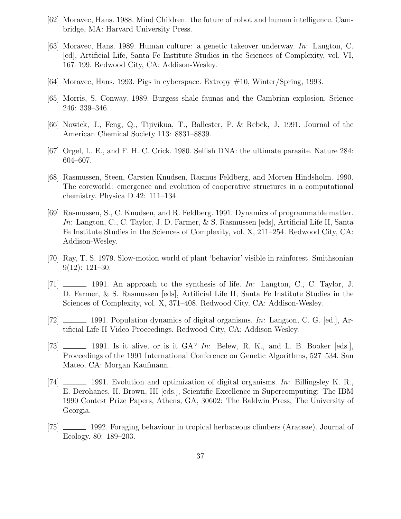- [62] Moravec, Hans. 1988. Mind Children: the future of robot and human intelligence. Cambridge, MA: Harvard University Press.
- [63] Moravec, Hans. 1989. Human culture: a genetic takeover underway. In: Langton, C. [ed], Artificial Life, Santa Fe Institute Studies in the Sciences of Complexity, vol. VI, 167–199. Redwood City, CA: Addison-Wesley.
- [64] Moravec, Hans. 1993. Pigs in cyberspace. Extropy #10, Winter/Spring, 1993.
- [65] Morris, S. Conway. 1989. Burgess shale faunas and the Cambrian explosion. Science 246: 339–346.
- [66] Nowick, J., Feng, Q., Tijivikua, T., Ballester, P. & Rebek, J. 1991. Journal of the American Chemical Society 113: 8831–8839.
- [67] Orgel, L. E., and F. H. C. Crick. 1980. Selfish DNA: the ultimate parasite. Nature 284: 604–607.
- [68] Rasmussen, Steen, Carsten Knudsen, Rasmus Feldberg, and Morten Hindsholm. 1990. The coreworld: emergence and evolution of cooperative structures in a computational chemistry. Physica D 42: 111–134.
- [69] Rasmussen, S., C. Knudsen, and R. Feldberg. 1991. Dynamics of programmable matter. In: Langton, C., C. Taylor, J. D. Farmer, & S. Rasmussen [eds], Artificial Life II, Santa Fe Institute Studies in the Sciences of Complexity, vol. X, 211–254. Redwood City, CA: Addison-Wesley.
- [70] Ray, T. S. 1979. Slow-motion world of plant 'behavior' visible in rainforest. Smithsonian 9(12): 121–30.
- [71]  $\_\_\_\_\_\$  1991. An approach to the synthesis of life. In: Langton, C., C. Taylor, J. D. Farmer, & S. Rasmussen [eds], Artificial Life II, Santa Fe Institute Studies in the Sciences of Complexity, vol. X, 371–408. Redwood City, CA: Addison-Wesley.
- [72]  $\Box$  1991. Population dynamics of digital organisms. In: Langton, C. G. [ed.], Artificial Life II Video Proceedings. Redwood City, CA: Addison Wesley.
- [73]  $\_\_\_\_\_\$  1991. Is it alive, or is it GA? In: Belew, R. K., and L. B. Booker [eds.], Proceedings of the 1991 International Conference on Genetic Algorithms, 527–534. San Mateo, CA: Morgan Kaufmann.
- [74]  $\Box$  1991. Evolution and optimization of digital organisms. In: Billingsley K. R., E. Derohanes, H. Brown, III [eds.], Scientific Excellence in Supercomputing: The IBM 1990 Contest Prize Papers, Athens, GA, 30602: The Baldwin Press, The University of Georgia.
- [75] . 1992. Foraging behaviour in tropical herbaceous climbers (Araceae). Journal of Ecology. 80: 189–203.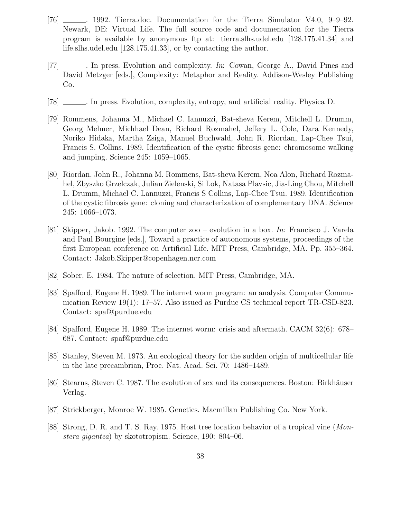- [76] . 1992. Tierra.doc. Documentation for the Tierra Simulator V4.0, 9–9–92. Newark, DE: Virtual Life. The full source code and documentation for the Tierra program is available by anonymous ftp at: tierra.slhs.udel.edu [128.175.41.34] and life.slhs.udel.edu [128.175.41.33], or by contacting the author.
- [77]  $\quad$ . In press. Evolution and complexity. In: Cowan, George A., David Pines and David Metzger [eds.], Complexity: Metaphor and Reality. Addison-Wesley Publishing Co.
- [78]  $\Box$  In press. Evolution, complexity, entropy, and artificial reality. Physica D.
- [79] Rommens, Johanna M., Michael C. Iannuzzi, Bat-sheva Kerem, Mitchell L. Drumm, Georg Melmer, Michhael Dean, Richard Rozmahel, Jeffery L. Cole, Dara Kennedy, Noriko Hidaka, Martha Zsiga, Manuel Buchwald, John R. Riordan, Lap-Chee Tsui, Francis S. Collins. 1989. Identification of the cystic fibrosis gene: chromosome walking and jumping. Science 245: 1059–1065.
- [80] Riordan, John R., Johanna M. Rommens, Bat-sheva Kerem, Noa Alon, Richard Rozmahel, Zbyszko Grzelczak, Julian Zielenski, Si Lok, Natasa Plavsic, Jia-Ling Chou, Mitchell L. Drumm, Michael C. Lannuzzi, Francis S Collins, Lap-Chee Tsui. 1989. Identification of the cystic fibrosis gene: cloning and characterization of complementary DNA. Science 245: 1066–1073.
- [81] Skipper, Jakob. 1992. The computer zoo evolution in a box. In: Francisco J. Varela and Paul Bourgine [eds.], Toward a practice of autonomous systems, proceedings of the first European conference on Artificial Life. MIT Press, Cambridge, MA. Pp. 355–364. Contact: Jakob.Skipper@copenhagen.ncr.com
- [82] Sober, E. 1984. The nature of selection. MIT Press, Cambridge, MA.
- [83] Spafford, Eugene H. 1989. The internet worm program: an analysis. Computer Communication Review 19(1): 17–57. Also issued as Purdue CS technical report TR-CSD-823. Contact: spaf@purdue.edu
- [84] Spafford, Eugene H. 1989. The internet worm: crisis and aftermath. CACM 32(6): 678– 687. Contact: spaf@purdue.edu
- [85] Stanley, Steven M. 1973. An ecological theory for the sudden origin of multicellular life in the late precambrian, Proc. Nat. Acad. Sci. 70: 1486–1489.
- [86] Stearns, Steven C. 1987. The evolution of sex and its consequences. Boston: Birkhäuser Verlag.
- [87] Strickberger, Monroe W. 1985. Genetics. Macmillan Publishing Co. New York.
- [88] Strong, D. R. and T. S. Ray. 1975. Host tree location behavior of a tropical vine (Monstera gigantea) by skototropism. Science, 190: 804–06.